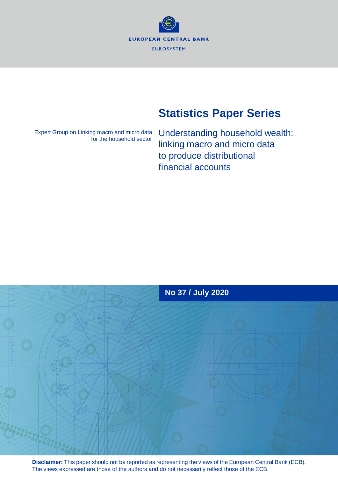**EUROPEAN CENTRAL BANK EUROSYSTEM** 

# **Statistics Paper Series**

Expert Group on Linking macro and micro data for the household sector

Understanding household wealth: linking macro and micro data to produce distributional financial accounts



**Disclaimer:** This paper should not be reported as representing the views of the European Central Bank (ECB). The views expressed are those of the authors and do not necessarily reflect those of the ECB.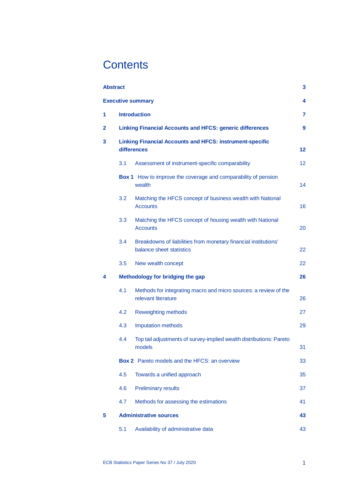# **Contents**

| <b>Abstract</b> |                  |                                                                                             | 3  |  |  |  |  |
|-----------------|------------------|---------------------------------------------------------------------------------------------|----|--|--|--|--|
|                 |                  | <b>Executive summary</b>                                                                    | 4  |  |  |  |  |
| 1               |                  | <b>Introduction</b>                                                                         | 7  |  |  |  |  |
| $\overline{2}$  |                  | <b>Linking Financial Accounts and HFCS: generic differences</b>                             | 9  |  |  |  |  |
| 3               |                  | <b>Linking Financial Accounts and HFCS: instrument-specific</b><br>differences              |    |  |  |  |  |
|                 | 3.1              | Assessment of instrument-specific comparability                                             | 12 |  |  |  |  |
|                 |                  | <b>Box 1</b> How to improve the coverage and comparability of pension<br>wealth             | 14 |  |  |  |  |
|                 | 3.2              | Matching the HFCS concept of business wealth with National<br><b>Accounts</b>               | 16 |  |  |  |  |
|                 | 3.3 <sub>2</sub> | Matching the HFCS concept of housing wealth with National<br><b>Accounts</b>                | 20 |  |  |  |  |
|                 | 3.4              | Breakdowns of liabilities from monetary financial institutions'<br>balance sheet statistics | 22 |  |  |  |  |
|                 | 3.5              | New wealth concept                                                                          | 22 |  |  |  |  |
| 4               |                  | Methodology for bridging the gap                                                            | 26 |  |  |  |  |
|                 | 4.1              | Methods for integrating macro and micro sources: a review of the<br>relevant literature     | 26 |  |  |  |  |
|                 | 4.2              | <b>Reweighting methods</b>                                                                  | 27 |  |  |  |  |
|                 | 4.3              | <b>Imputation methods</b>                                                                   | 29 |  |  |  |  |
|                 | 4.4              | Top tail adjustments of survey-implied wealth distributions: Pareto<br>models               | 31 |  |  |  |  |
|                 |                  | <b>Box 2</b> Pareto models and the HFCS: an overview                                        | 33 |  |  |  |  |
|                 | 4.5              | Towards a unified approach                                                                  | 35 |  |  |  |  |
|                 | 4.6              | <b>Preliminary results</b>                                                                  | 37 |  |  |  |  |
|                 | 4.7              | Methods for assessing the estimations                                                       | 41 |  |  |  |  |
| 5               |                  | <b>Administrative sources</b>                                                               | 43 |  |  |  |  |
|                 | 5.1              | Availability of administrative data                                                         | 43 |  |  |  |  |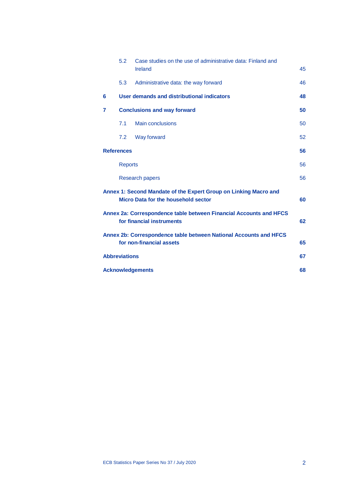|   | 5.2                  | Case studies on the use of administrative data: Finland and<br>Ireland                                  | 45 |
|---|----------------------|---------------------------------------------------------------------------------------------------------|----|
|   | 5.3                  | Administrative data: the way forward                                                                    | 46 |
| 6 |                      | User demands and distributional indicators                                                              | 48 |
| 7 |                      | <b>Conclusions and way forward</b>                                                                      | 50 |
|   | 7.1                  | <b>Main conclusions</b>                                                                                 | 50 |
|   | 7.2                  | Way forward                                                                                             | 52 |
|   | <b>References</b>    |                                                                                                         | 56 |
|   | <b>Reports</b>       |                                                                                                         | 56 |
|   |                      | <b>Research papers</b>                                                                                  | 56 |
|   |                      | Annex 1: Second Mandate of the Expert Group on Linking Macro and<br>Micro Data for the household sector | 60 |
|   |                      | Annex 2a: Correspondence table between Financial Accounts and HFCS<br>for financial instruments         | 62 |
|   |                      | Annex 2b: Correspondence table between National Accounts and HFCS<br>for non-financial assets           | 65 |
|   | <b>Abbreviations</b> |                                                                                                         | 67 |
|   |                      | <b>Acknowledgements</b>                                                                                 | 68 |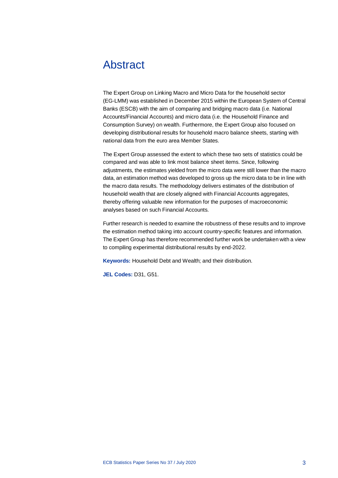## <span id="page-3-0"></span>Abstract

The Expert Group on Linking Macro and Micro Data for the household sector (EG-LMM) was established in December 2015 within the European System of Central Banks (ESCB) with the aim of comparing and bridging macro data (i.e. National Accounts/Financial Accounts) and micro data (i.e. the Household Finance and Consumption Survey) on wealth. Furthermore, the Expert Group also focused on developing distributional results for household macro balance sheets, starting with national data from the euro area Member States.

The Expert Group assessed the extent to which these two sets of statistics could be compared and was able to link most balance sheet items. Since, following adjustments, the estimates yielded from the micro data were still lower than the macro data, an estimation method was developed to gross up the micro data to be in line with the macro data results. The methodology delivers estimates of the distribution of household wealth that are closely aligned with Financial Accounts aggregates, thereby offering valuable new information for the purposes of macroeconomic analyses based on such Financial Accounts.

Further research is needed to examine the robustness of these results and to improve the estimation method taking into account country-specific features and information. The Expert Group has therefore recommended further work be undertaken with a view to compiling experimental distributional results by end-2022.

**Keywords:** Household Debt and Wealth; and their distribution.

**JEL Codes:** D31, G51.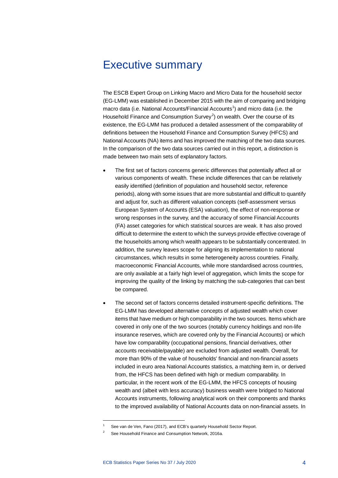## <span id="page-4-0"></span>Executive summary

The ESCB Expert Group on Linking Macro and Micro Data for the household sector (EG-LMM) was established in December 2015 with the aim of comparing and bridging macro data (i.e. National Accounts/Financial Accounts<sup>[1](#page-4-1)</sup>) and micro data (i.e. the Household Finance and Consumption Survey<sup>[2](#page-4-2)</sup>) on wealth. Over the course of its existence, the EG-LMM has produced a detailed assessment of the comparability of definitions between the Household Finance and Consumption Survey (HFCS) and National Accounts (NA) items and has improved the matching of the two data sources. In the comparison of the two data sources carried out in this report, a distinction is made between two main sets of explanatory factors.

- The first set of factors concerns generic differences that potentially affect all or various components of wealth. These include differences that can be relatively easily identified (definition of population and household sector, reference periods), along with some issues that are more substantial and difficult to quantify and adjust for, such as different valuation concepts (self-assessment versus European System of Accounts (ESA) valuation), the effect of non-response or wrong responses in the survey, and the accuracy of some Financial Accounts (FA) asset categories for which statistical sources are weak. It has also proved difficult to determine the extent to which the surveys provide effective coverage of the households among which wealth appears to be substantially concentrated. In addition, the survey leaves scope for aligning its implementation to national circumstances, which results in some heterogeneity across countries. Finally, macroeconomic Financial Accounts, while more standardised across countries, are only available at a fairly high level of aggregation, which limits the scope for improving the quality of the linking by matching the sub-categories that can best be compared.
- The second set of factors concerns detailed instrument-specific definitions. The EG-LMM has developed alternative concepts of adjusted wealth which cover items that have medium or high comparability in the two sources. Items which are covered in only one of the two sources (notably currency holdings and non-life insurance reserves, which are covered only by the Financial Accounts) or which have low comparability (occupational pensions, financial derivatives, other accounts receivable/payable) are excluded from adjusted wealth. Overall, for more than 90% of the value of households' financial and non-financial assets included in euro area National Accounts statistics, a matching item in, or derived from, the HFCS has been defined with high or medium comparability. In particular, in the recent work of the EG-LMM, the HFCS concepts of housing wealth and (albeit with less accuracy) business wealth were bridged to National Accounts instruments, following analytical work on their components and thanks to the improved availability of National Accounts data on non-financial assets. In

 $\overline{a}$ 

<span id="page-4-2"></span><span id="page-4-1"></span>See van de Ven, Fano (2017), and ECB's quarterly Household Sector Report.

See Household Finance and Consumption Network, 2016a.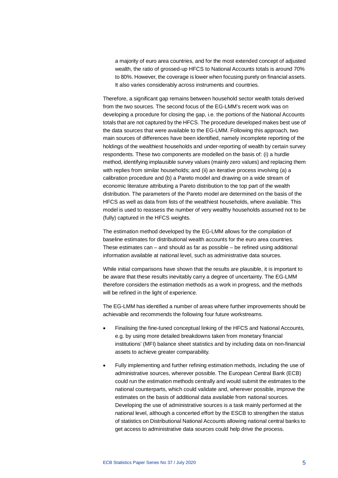a majority of euro area countries, and for the most extended concept of adjusted wealth, the ratio of grossed-up HFCS to National Accounts totals is around 70% to 80%. However, the coverage is lower when focusing purely on financial assets. It also varies considerably across instruments and countries.

Therefore, a significant gap remains between household sector wealth totals derived from the two sources. The second focus of the EG-LMM's recent work was on developing a procedure for closing the gap, i.e. the portions of the National Accounts totals that are not captured by the HFCS. The procedure developed makes best use of the data sources that were available to the EG-LMM. Following this approach, two main sources of differences have been identified, namely incomplete reporting of the holdings of the wealthiest households and under-reporting of wealth by certain survey respondents. These two components are modelled on the basis of: (i) a hurdle method, identifying implausible survey values (mainly zero values) and replacing them with replies from similar households; and (ii) an iterative process involving (a) a calibration procedure and (b) a Pareto model and drawing on a wide stream of economic literature attributing a Pareto distribution to the top part of the wealth distribution. The parameters of the Pareto model are determined on the basis of the HFCS as well as data from lists of the wealthiest households, where available. This model is used to reassess the number of very wealthy households assumed not to be (fully) captured in the HFCS weights.

The estimation method developed by the EG-LMM allows for the compilation of baseline estimates for distributional wealth accounts for the euro area countries. These estimates can – and should as far as possible – be refined using additional information available at national level, such as administrative data sources.

While initial comparisons have shown that the results are plausible, it is important to be aware that these results inevitably carry a degree of uncertainty. The EG-LMM therefore considers the estimation methods as a work in progress, and the methods will be refined in the light of experience.

The EG-LMM has identified a number of areas where further improvements should be achievable and recommends the following four future workstreams.

- Finalising the fine-tuned conceptual linking of the HFCS and National Accounts, e.g. by using more detailed breakdowns taken from monetary financial institutions' (MFI) balance sheet statistics and by including data on non-financial assets to achieve greater comparability.
- Fully implementing and further refining estimation methods, including the use of administrative sources, wherever possible. The European Central Bank (ECB) could run the estimation methods centrally and would submit the estimates to the national counterparts, which could validate and, wherever possible, improve the estimates on the basis of additional data available from national sources. Developing the use of administrative sources is a task mainly performed at the national level, although a concerted effort by the ESCB to strengthen the status of statistics on Distributional National Accounts allowing national central banks to get access to administrative data sources could help drive the process.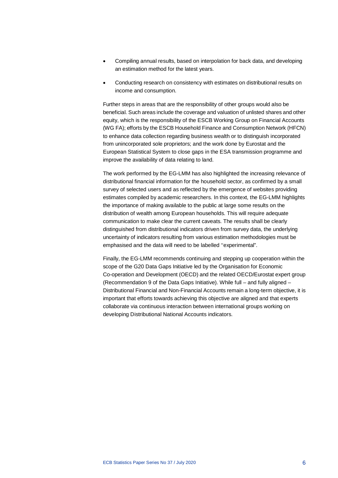- Compiling annual results, based on interpolation for back data, and developing an estimation method for the latest years.
- Conducting research on consistency with estimates on distributional results on income and consumption.

Further steps in areas that are the responsibility of other groups would also be beneficial. Such areas include the coverage and valuation of unlisted shares and other equity, which is the responsibility of the ESCB Working Group on Financial Accounts (WG FA); efforts by the ESCB Household Finance and Consumption Network (HFCN) to enhance data collection regarding business wealth or to distinguish incorporated from unincorporated sole proprietors; and the work done by Eurostat and the European Statistical System to close gaps in the ESA transmission programme and improve the availability of data relating to land.

The work performed by the EG-LMM has also highlighted the increasing relevance of distributional financial information for the household sector, as confirmed by a small survey of selected users and as reflected by the emergence of websites providing estimates compiled by academic researchers. In this context, the EG-LMM highlights the importance of making available to the public at large some results on the distribution of wealth among European households. This will require adequate communication to make clear the current caveats. The results shall be clearly distinguished from distributional indicators driven from survey data, the underlying uncertainty of indicators resulting from various estimation methodologies must be emphasised and the data will need to be labelled ''experimental".

Finally, the EG-LMM recommends continuing and stepping up cooperation within the scope of the G20 Data Gaps Initiative led by the Organisation for Economic Co-operation and Development (OECD) and the related OECD/Eurostat expert group (Recommendation 9 of the Data Gaps Initiative). While full – and fully aligned – Distributional Financial and Non-Financial Accounts remain a long-term objective, it is important that efforts towards achieving this objective are aligned and that experts collaborate via continuous interaction between international groups working on developing Distributional National Accounts indicators.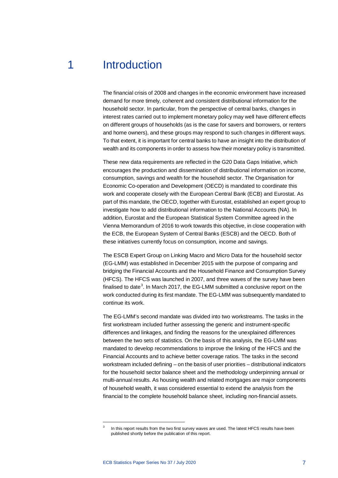## 1 Introduction

<span id="page-7-0"></span>The financial crisis of 2008 and changes in the economic environment have increased demand for more timely, coherent and consistent distributional information for the household sector. In particular, from the perspective of central banks, changes in interest rates carried out to implement monetary policy may well have different effects on different groups of households (as is the case for savers and borrowers, or renters and home owners), and these groups may respond to such changes in different ways. To that extent, it is important for central banks to have an insight into the distribution of wealth and its components in order to assess how their monetary policy is transmitted.

These new data requirements are reflected in the G20 Data Gaps Initiative, which encourages the production and dissemination of distributional information on income, consumption, savings and wealth for the household sector. The Organisation for Economic Co-operation and Development (OECD) is mandated to coordinate this work and cooperate closely with the European Central Bank (ECB) and Eurostat. As part of this mandate, the OECD, together with Eurostat, established an expert group to investigate how to add distributional information to the National Accounts (NA). In addition, Eurostat and the European Statistical System Committee agreed in the Vienna Memorandum of 2016 to work towards this objective, in close cooperation with the ECB, the European System of Central Banks (ESCB) and the OECD. Both of these initiatives currently focus on consumption, income and savings.

The ESCB Expert Group on Linking Macro and Micro Data for the household sector (EG-LMM) was established in December 2015 with the purpose of comparing and bridging the Financial Accounts and the Household Finance and Consumption Survey (HFCS). The HFCS was launched in 2007, and three waves of the survey have been finalised to date<sup>[3](#page-7-1)</sup>. In March 2017, the EG-LMM submitted a conclusive report on the work conducted during its first mandate. The EG-LMM was subsequently mandated to continue its work.

The EG-LMM's second mandate was divided into two workstreams. The tasks in the first workstream included further assessing the generic and instrument-specific differences and linkages, and finding the reasons for the unexplained differences between the two sets of statistics. On the basis of this analysis, the EG-LMM was mandated to develop recommendations to improve the linking of the HFCS and the Financial Accounts and to achieve better coverage ratios. The tasks in the second workstream included defining – on the basis of user priorities – distributional indicators for the household sector balance sheet and the methodology underpinning annual or multi-annual results. As housing wealth and related mortgages are major components of household wealth, it was considered essential to extend the analysis from the financial to the complete household balance sheet, including non-financial assets.

<span id="page-7-1"></span>1

In this report results from the two first survey waves are used. The latest HFCS results have been published shortly before the publication of this report.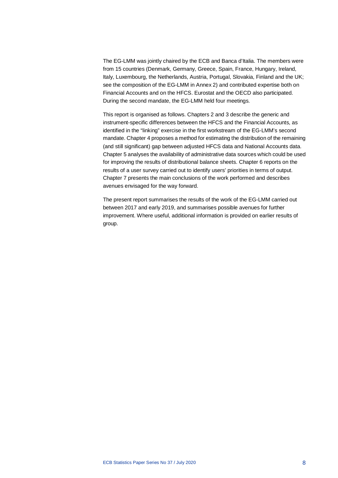The EG-LMM was jointly chaired by the ECB and Banca d'Italia. The members were from 15 countries (Denmark, Germany, Greece, Spain, France, Hungary, Ireland, Italy, Luxembourg, the Netherlands, Austria, Portugal, Slovakia, Finland and the UK; see the composition of the EG-LMM in Annex 2) and contributed expertise both on Financial Accounts and on the HFCS. Eurostat and the OECD also participated. During the second mandate, the EG-LMM held four meetings.

This report is organised as follows. Chapters 2 and 3 describe the generic and instrument-specific differences between the HFCS and the Financial Accounts, as identified in the "linking" exercise in the first workstream of the EG-LMM's second mandate. Chapter 4 proposes a method for estimating the distribution of the remaining (and still significant) gap between adjusted HFCS data and National Accounts data. Chapter 5 analyses the availability of administrative data sources which could be used for improving the results of distributional balance sheets. Chapter 6 reports on the results of a user survey carried out to identify users' priorities in terms of output. Chapter 7 presents the main conclusions of the work performed and describes avenues envisaged for the way forward.

The present report summarises the results of the work of the EG-LMM carried out between 2017 and early 2019, and summarises possible avenues for further improvement. Where useful, additional information is provided on earlier results of group.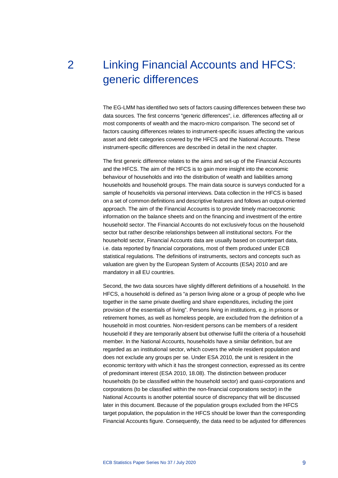# <span id="page-9-0"></span>2 Linking Financial Accounts and HFCS: generic differences

The EG-LMM has identified two sets of factors causing differences between these two data sources. The first concerns "generic differences", i.e. differences affecting all or most components of wealth and the macro-micro comparison. The second set of factors causing differences relates to instrument-specific issues affecting the various asset and debt categories covered by the HFCS and the National Accounts. These instrument-specific differences are described in detail in the next chapter.

The first generic difference relates to the aims and set-up of the Financial Accounts and the HFCS. The aim of the HFCS is to gain more insight into the economic behaviour of households and into the distribution of wealth and liabilities among households and household groups. The main data source is surveys conducted for a sample of households via personal interviews. Data collection in the HFCS is based on a set of common definitions and descriptive features and follows an output-oriented approach. The aim of the Financial Accounts is to provide timely macroeconomic information on the balance sheets and on the financing and investment of the entire household sector. The Financial Accounts do not exclusively focus on the household sector but rather describe relationships between all institutional sectors. For the household sector, Financial Accounts data are usually based on counterpart data, i.e. data reported by financial corporations, most of them produced under ECB statistical regulations. The definitions of instruments, sectors and concepts such as valuation are given by the European System of Accounts (ESA) 2010 and are mandatory in all EU countries.

Second, the two data sources have slightly different definitions of a household. In the HFCS, a household is defined as "a person living alone or a group of people who live together in the same private dwelling and share expenditures, including the joint provision of the essentials of living". Persons living in institutions, e.g. in prisons or retirement homes, as well as homeless people, are excluded from the definition of a household in most countries. Non-resident persons can be members of a resident household if they are temporarily absent but otherwise fulfil the criteria of a household member. In the National Accounts, households have a similar definition, but are regarded as an institutional sector, which covers the whole resident population and does not exclude any groups per se. Under ESA 2010, the unit is resident in the economic territory with which it has the strongest connection, expressed as its centre of predominant interest (ESA 2010, 18.08). The distinction between producer households (to be classified within the household sector) and quasi-corporations and corporations (to be classified within the non-financial corporations sector) in the National Accounts is another potential source of discrepancy that will be discussed later in this document. Because of the population groups excluded from the HFCS target population, the population in the HFCS should be lower than the corresponding Financial Accounts figure. Consequently, the data need to be adjusted for differences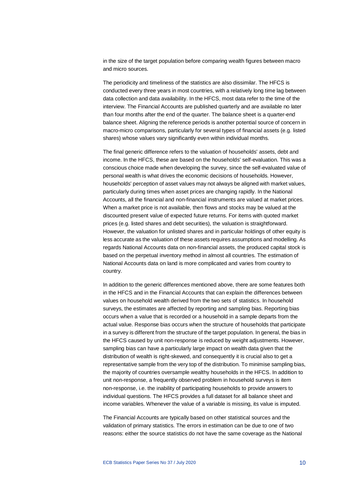in the size of the target population before comparing wealth figures between macro and micro sources.

The periodicity and timeliness of the statistics are also dissimilar. The HFCS is conducted every three years in most countries, with a relatively long time lag between data collection and data availability. In the HFCS, most data refer to the time of the interview. The Financial Accounts are published quarterly and are available no later than four months after the end of the quarter. The balance sheet is a quarter-end balance sheet. Aligning the reference periods is another potential source of concern in macro-micro comparisons, particularly for several types of financial assets (e.g. listed shares) whose values vary significantly even within individual months.

The final generic difference refers to the valuation of households' assets, debt and income. In the HFCS, these are based on the households' self-evaluation. This was a conscious choice made when developing the survey, since the self-evaluated value of personal wealth is what drives the economic decisions of households. However, households' perception of asset values may not always be aligned with market values, particularly during times when asset prices are changing rapidly. In the National Accounts, all the financial and non-financial instruments are valued at market prices. When a market price is not available, then flows and stocks may be valued at the discounted present value of expected future returns. For items with quoted market prices (e.g. listed shares and debt securities), the valuation is straightforward. However, the valuation for unlisted shares and in particular holdings of other equity is less accurate as the valuation of these assets requires assumptions and modelling. As regards National Accounts data on non-financial assets, the produced capital stock is based on the perpetual inventory method in almost all countries. The estimation of National Accounts data on land is more complicated and varies from country to country.

In addition to the generic differences mentioned above, there are some features both in the HFCS and in the Financial Accounts that can explain the differences between values on household wealth derived from the two sets of statistics. In household surveys, the estimates are affected by reporting and sampling bias. Reporting bias occurs when a value that is recorded or a household in a sample departs from the actual value. Response bias occurs when the structure of households that participate in a survey is different from the structure of the target population. In general, the bias in the HFCS caused by unit non-response is reduced by weight adjustments. However, sampling bias can have a particularly large impact on wealth data given that the distribution of wealth is right-skewed, and consequently it is crucial also to get a representative sample from the very top of the distribution. To minimise sampling bias, the majority of countries oversample wealthy households in the HFCS. In addition to unit non-response, a frequently observed problem in household surveys is item non-response, i.e. the inability of participating households to provide answers to individual questions. The HFCS provides a full dataset for all balance sheet and income variables. Whenever the value of a variable is missing, its value is imputed.

The Financial Accounts are typically based on other statistical sources and the validation of primary statistics. The errors in estimation can be due to one of two reasons: either the source statistics do not have the same coverage as the National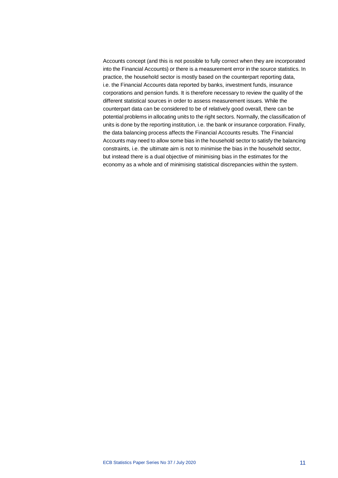Accounts concept (and this is not possible to fully correct when they are incorporated into the Financial Accounts) or there is a measurement error in the source statistics. In practice, the household sector is mostly based on the counterpart reporting data, i.e. the Financial Accounts data reported by banks, investment funds, insurance corporations and pension funds. It is therefore necessary to review the quality of the different statistical sources in order to assess measurement issues. While the counterpart data can be considered to be of relatively good overall, there can be potential problems in allocating units to the right sectors. Normally, the classification of units is done by the reporting institution, i.e. the bank or insurance corporation. Finally, the data balancing process affects the Financial Accounts results. The Financial Accounts may need to allow some bias in the household sector to satisfy the balancing constraints, i.e. the ultimate aim is not to minimise the bias in the household sector, but instead there is a dual objective of minimising bias in the estimates for the economy as a whole and of minimising statistical discrepancies within the system.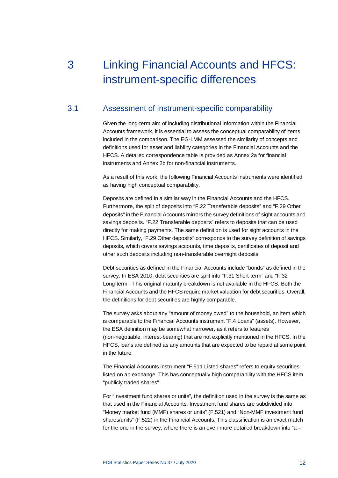# <span id="page-12-0"></span>3 Linking Financial Accounts and HFCS: instrument-specific differences

## 3.1 Assessment of instrument-specific comparability

<span id="page-12-1"></span>Given the long-term aim of including distributional information within the Financial Accounts framework, it is essential to assess the conceptual comparability of items included in the comparison. The EG-LMM assessed the similarity of concepts and definitions used for asset and liability categories in the Financial Accounts and the HFCS. A detailed correspondence table is provided as Annex 2a for financial instruments and Annex 2b for non-financial instruments.

As a result of this work, the following Financial Accounts instruments were identified as having high conceptual comparability.

Deposits are defined in a similar way in the Financial Accounts and the HFCS. Furthermore, the split of deposits into "F.22 Transferable deposits" and "F.29 Other deposits" in the Financial Accounts mirrors the survey definitions of sight accounts and savings deposits. "F.22 Transferable deposits" refers to deposits that can be used directly for making payments. The same definition is used for sight accounts in the HFCS. Similarly, "F.29 Other deposits" corresponds to the survey definition of savings deposits, which covers savings accounts, time deposits, certificates of deposit and other such deposits including non-transferable overnight deposits.

Debt securities as defined in the Financial Accounts include "bonds" as defined in the survey. In ESA 2010, debt securities are split into "F.31 Short-term" and "F.32 Long-term". This original maturity breakdown is not available in the HFCS. Both the Financial Accounts and the HFCS require market valuation for debt securities. Overall, the definitions for debt securities are highly comparable.

The survey asks about any "amount of money owed" to the household, an item which is comparable to the Financial Accounts instrument "F.4 Loans" (assets). However, the ESA definition may be somewhat narrower, as it refers to features (non-negotiable, interest-bearing) that are not explicitly mentioned in the HFCS. In the HFCS, loans are defined as any amounts that are expected to be repaid at some point in the future.

The Financial Accounts instrument "F.511 Listed shares" refers to equity securities listed on an exchange. This has conceptually high comparability with the HFCS item "publicly traded shares".

For "Investment fund shares or units", the definition used in the survey is the same as that used in the Financial Accounts. Investment fund shares are subdivided into "Money market fund (MMF) shares or units" (F.521) and "Non-MMF investment fund shares/units" (F.522) in the Financial Accounts. This classification is an exact match for the one in the survey, where there is an even more detailed breakdown into "a –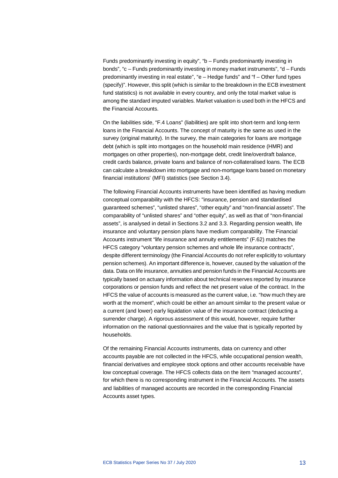Funds predominantly investing in equity", "b – Funds predominantly investing in bonds", "c – Funds predominantly investing in money market instruments", "d – Funds predominantly investing in real estate", "e – Hedge funds" and "f – Other fund types (specify)". However, this split (which is similar to the breakdown in the ECB investment fund statistics) is not available in every country, and only the total market value is among the standard imputed variables. Market valuation is used both in the HFCS and the Financial Accounts.

On the liabilities side, "F.4 Loans" (liabilities) are split into short-term and long-term loans in the Financial Accounts. The concept of maturity is the same as used in the survey (original maturity). In the survey, the main categories for loans are mortgage debt (which is split into mortgages on the household main residence (HMR) and mortgages on other properties), non-mortgage debt, credit line/overdraft balance, credit cards balance, private loans and balance of non-collateralised loans. The ECB can calculate a breakdown into mortgage and non-mortgage loans based on monetary financial institutions' (MFI) statistics (see Section 3.4).

The following Financial Accounts instruments have been identified as having medium conceptual comparability with the HFCS: "insurance, pension and standardised guaranteed schemes", "unlisted shares", "other equity" and "non-financial assets". The comparability of "unlisted shares" and "other equity", as well as that of "non-financial assets", is analysed in detail in Sections 3.2 and 3.3. Regarding pension wealth, life insurance and voluntary pension plans have medium comparability. The Financial Accounts instrument "life insurance and annuity entitlements" (F.62) matches the HFCS category "voluntary pension schemes and whole life insurance contracts", despite different terminology (the Financial Accounts do not refer explicitly to voluntary pension schemes). An important difference is, however, caused by the valuation of the data. Data on life insurance, annuities and pension funds in the Financial Accounts are typically based on actuary information about technical reserves reported by insurance corporations or pension funds and reflect the net present value of the contract. In the HFCS the value of accounts is measured as the current value, i.e. "how much they are worth at the moment", which could be either an amount similar to the present value or a current (and lower) early liquidation value of the insurance contract (deducting a surrender charge). A rigorous assessment of this would, however, require further information on the national questionnaires and the value that is typically reported by households.

Of the remaining Financial Accounts instruments, data on currency and other accounts payable are not collected in the HFCS, while occupational pension wealth, financial derivatives and employee stock options and other accounts receivable have low conceptual coverage. The HFCS collects data on the item "managed accounts", for which there is no corresponding instrument in the Financial Accounts. The assets and liabilities of managed accounts are recorded in the corresponding Financial Accounts asset types.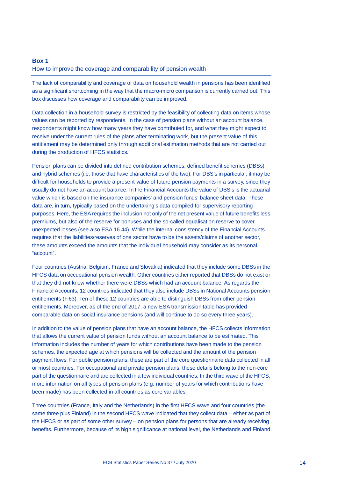#### <span id="page-14-0"></span>**Box 1**

#### How to improve the coverage and comparability of pension wealth

The lack of comparability and coverage of data on household wealth in pensions has been identified as a significant shortcoming in the way that the macro-micro comparison is currently carried out. This box discusses how coverage and comparability can be improved.

Data collection in a household survey is restricted by the feasibility of collecting data on items whose values can be reported by respondents. In the case of pension plans without an account balance, respondents might know how many years they have contributed for, and what they might expect to receive under the current rules of the plans after terminating work, but the present value of this entitlement may be determined only through additional estimation methods that are not carried out during the production of HFCS statistics.

Pension plans can be divided into defined contribution schemes, defined benefit schemes (DBSs), and hybrid schemes (i.e. those that have characteristics of the two). For DBS's in particular, it may be difficult for households to provide a present value of future pension payments in a survey, since they usually do not have an account balance. In the Financial Accounts the value of DBS's is the actuarial value which is based on the insurance companies' and pension funds' balance sheet data. These data are, in turn, typically based on the undertaking's data compiled for supervisory reporting purposes. Here, the ESA requires the inclusion not only of the net present value of future benefits less premiums, but also of the reserve for bonuses and the so-called equalisation reserve to cover unexpected losses (see also ESA 16.44). While the internal consistency of the Financial Accounts requires that the liabilities/reserves of one sector have to be the assets/claims of another sector, these amounts exceed the amounts that the individual household may consider as its personal "account".

Four countries (Austria, Belgium, France and Slovakia) indicated that they include some DBSs in the HFCS data on occupational pension wealth. Other countries either reported that DBSs do not exist or that they did not know whether there were DBSs which had an account balance. As regards the Financial Accounts, 12 countries indicated that they also include DBSs in National Accounts pension entitlements (F.63). Ten of these 12 countries are able to distinguish DBSs from other pension entitlements. Moreover, as of the end of 2017, a new ESA transmission table has provided comparable data on social insurance pensions (and will continue to do so every three years).

In addition to the value of pension plans that have an account balance, the HFCS collects information that allows the current value of pension funds without an account balance to be estimated. This information includes the number of years for which contributions have been made to the pension schemes, the expected age at which pensions will be collected and the amount of the pension payment flows. For public pension plans, these are part of the core questionnaire data collected in all or most countries. For occupational and private pension plans, these details belong to the non-core part of the questionnaire and are collected in a few individual countries. In the third wave of the HFCS, more information on all types of pension plans (e.g. number of years for which contributions have been made) has been collected in all countries as core variables.

Three countries (France, Italy and the Netherlands) in the first HFCS wave and four countries (the same three plus Finland) in the second HFCS wave indicated that they collect data – either as part of the HFCS or as part of some other survey – on pension plans for persons that are already receiving benefits. Furthermore, because of its high significance at national level, the Netherlands and Finland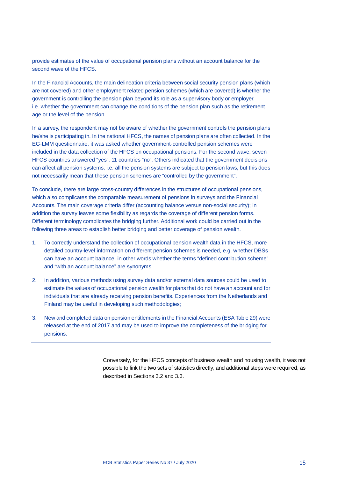provide estimates of the value of occupational pension plans without an account balance for the second wave of the HFCS.

In the Financial Accounts, the main delineation criteria between social security pension plans (which are not covered) and other employment related pension schemes (which are covered) is whether the government is controlling the pension plan beyond its role as a supervisory body or employer, i.e. whether the government can change the conditions of the pension plan such as the retirement age or the level of the pension.

In a survey, the respondent may not be aware of whether the government controls the pension plans he/she is participating in. In the national HFCS, the names of pension plans are often collected. In the EG-LMM questionnaire, it was asked whether government-controlled pension schemes were included in the data collection of the HFCS on occupational pensions. For the second wave, seven HFCS countries answered "yes", 11 countries "no". Others indicated that the government decisions can affect all pension systems, i.e. all the pension systems are subject to pension laws, but this does not necessarily mean that these pension schemes are "controlled by the government".

To conclude, there are large cross-country differences in the structures of occupational pensions, which also complicates the comparable measurement of pensions in surveys and the Financial Accounts. The main coverage criteria differ (accounting balance versus non-social security); in addition the survey leaves some flexibility as regards the coverage of different pension forms. Different terminology complicates the bridging further. Additional work could be carried out in the following three areas to establish better bridging and better coverage of pension wealth.

- 1. To correctly understand the collection of occupational pension wealth data in the HFCS, more detailed country-level information on different pension schemes is needed, e.g. whether DBSs can have an account balance, in other words whether the terms "defined contribution scheme" and "with an account balance" are synonyms.
- 2. In addition, various methods using survey data and/or external data sources could be used to estimate the values of occupational pension wealth for plans that do not have an account and for individuals that are already receiving pension benefits. Experiences from the Netherlands and Finland may be useful in developing such methodologies;
- 3. New and completed data on pension entitlements in the Financial Accounts (ESA Table 29) were released at the end of 2017 and may be used to improve the completeness of the bridging for pensions.

Conversely, for the HFCS concepts of business wealth and housing wealth, it was not possible to link the two sets of statistics directly, and additional steps were required, as described in Sections 3.2 and 3.3.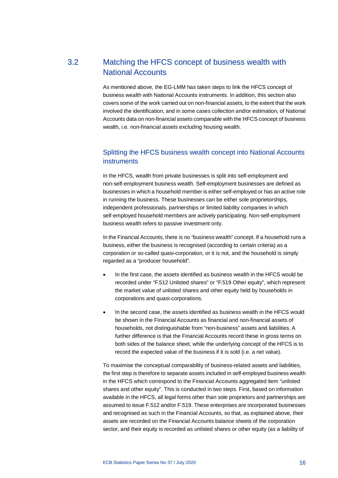## 3.2 Matching the HFCS concept of business wealth with National Accounts

<span id="page-16-0"></span>As mentioned above, the EG-LMM has taken steps to link the HFCS concept of business wealth with National Accounts instruments. In addition, this section also covers some of the work carried out on non-financial assets, to the extent that the work involved the identification, and in some cases collection and/or estimation, of National Accounts data on non-financial assets comparable with the HFCS concept of business wealth, i.e. non-financial assets excluding housing wealth.

## Splitting the HFCS business wealth concept into National Accounts **instruments**

In the HFCS, wealth from private businesses is split into self-employment and non-self-employment business wealth. Self-employment businesses are defined as businesses in which a household member is either self-employed or has an active role in running the business. These businesses can be either sole proprietorships, independent professionals, partnerships or limited liability companies in which self-employed household members are actively participating. Non-self-employment business wealth refers to passive investment only.

In the Financial Accounts, there is no "business wealth" concept. If a household runs a business, either the business is recognised (according to certain criteria) as a corporation or so-called quasi-corporation, or it is not, and the household is simply regarded as a "producer household".

- In the first case, the assets identified as business wealth in the HFCS would be recorded under "F.512 Unlisted shares" or "F.519 Other equity", which represent the market value of unlisted shares and other equity held by households in corporations and quasi-corporations.
- In the second case, the assets identified as business wealth in the HFCS would be shown in the Financial Accounts as financial and non-financial assets of households, not distinguishable from "non-business" assets and liabilities. A further difference is that the Financial Accounts record these in gross terms on both sides of the balance sheet, while the underlying concept of the HFCS is to record the expected value of the business if it is sold (i.e. a net value).

To maximise the conceptual comparability of business-related assets and liabilities, the first step is therefore to separate assets included in self-employed business wealth in the HFCS which correspond to the Financial Accounts aggregated item "unlisted shares and other equity". This is conducted in two steps. First, based on information available in the HFCS, all legal forms other than sole proprietors and partnerships are assumed to issue F.512 and/or F.519. These enterprises are incorporated businesses and recognised as such in the Financial Accounts, so that, as explained above, their assets are recorded on the Financial Accounts balance sheets of the corporation sector, and their equity is recorded as unlisted shares or other equity (as a liability of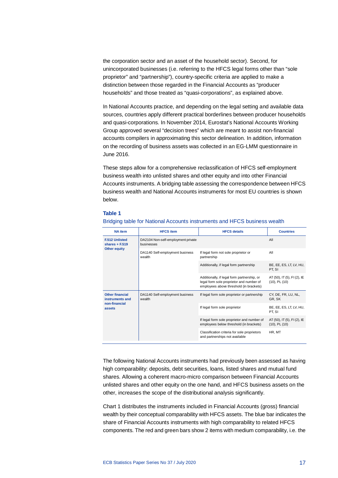the corporation sector and an asset of the household sector). Second, for unincorporated businesses (i.e. referring to the HFCS legal forms other than "sole proprietor" and "partnership"), country-specific criteria are applied to make a distinction between those regarded in the Financial Accounts as "producer households" and those treated as "quasi-corporations", as explained above.

In National Accounts practice, and depending on the legal setting and available data sources, countries apply different practical borderlines between producer households and quasi-corporations. In November 2014, Eurostat's National Accounts Working Group approved several "decision trees" which are meant to assist non-financial accounts compilers in approximating this sector delineation. In addition, information on the recording of business assets was collected in an EG-LMM questionnaire in June 2016.

These steps allow for a comprehensive reclassification of HFCS self-employment business wealth into unlisted shares and other equity and into other Financial Accounts instruments. A bridging table assessing the correspondence between HFCS business wealth and National Accounts instruments for most EU countries is shown below.

#### **Table 1**

| <b>NA</b> item                            | <b>HFCS</b> item                                 | <b>HFCS details</b>                                                                                                                | <b>Countries</b>                                  |
|-------------------------------------------|--------------------------------------------------|------------------------------------------------------------------------------------------------------------------------------------|---------------------------------------------------|
| <b>F.512 Unlisted</b><br>shares $+ F.519$ | DA2104 Non-self-employment private<br>businesses |                                                                                                                                    | All                                               |
| <b>Other equity</b>                       | DA1140 Self-employment business<br>wealth        | If legal form not sole proprietor or<br>partnership                                                                                | All                                               |
|                                           |                                                  | Additionally, if legal form partnership                                                                                            | BE, EE, ES, LT, LV, HU,<br>PT. SI                 |
|                                           |                                                  | Additionally, if legal form partnership, or<br>legal form sole proprietor and number of<br>employees above threshold (in brackets) | AT (50), IT (5), FI (2), IE<br>$(10)$ , PL $(10)$ |
| <b>Other financial</b><br>instruments and | DA1140 Self-employment business<br>wealth        | If legal form sole proprietor or partnership                                                                                       | CY, DE, FR, LU, NL,<br>GR, SK                     |
| non-financial<br>assets                   |                                                  | If legal form sole proprietor                                                                                                      | BE, EE, ES, LT, LV, HU,<br>PT, SI                 |
|                                           |                                                  | If legal form sole proprietor and number of<br>employees below threshold (in brackets)                                             | AT (50), IT (5), FI (2), IE<br>$(10)$ , PL $(10)$ |
|                                           |                                                  | Classification criteria for sole proprietors<br>and partnerships not available                                                     | HR, MT                                            |

#### Bridging table for National Accounts instruments and HFCS business wealth

The following National Accounts instruments had previously been assessed as having high comparability: deposits, debt securities, loans, listed shares and mutual fund shares. Allowing a coherent macro-micro comparison between Financial Accounts unlisted shares and other equity on the one hand, and HFCS business assets on the other, increases the scope of the distributional analysis significantly.

Chart 1 distributes the instruments included in Financial Accounts (gross) financial wealth by their conceptual comparability with HFCS assets. The blue bar indicates the share of Financial Accounts instruments with high comparability to related HFCS components. The red and green bars show 2 items with medium comparability, i.e. the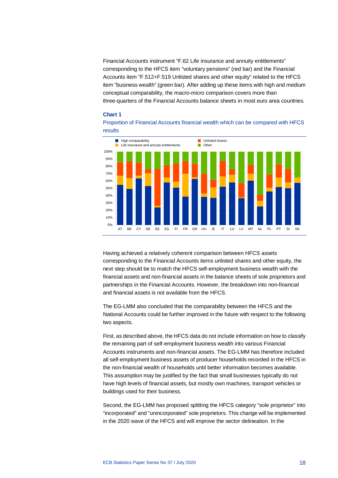Financial Accounts instrument "F.62 Life insurance and annuity entitlements" corresponding to the HFCS item "voluntary pensions" (red bar) and the Financial Accounts item "F.512+F.519 Unlisted shares and other equity" related to the HFCS item "business wealth" (green bar). After adding up these items with high and medium conceptual comparability, the macro-micro comparison covers more than three-quarters of the Financial Accounts balance sheets in most euro area countries.

#### **Chart 1**





Having achieved a relatively coherent comparison between HFCS assets corresponding to the Financial Accounts items unlisted shares and other equity, the next step should be to match the HFCS self-employment business wealth with the financial assets and non-financial assets in the balance sheets of sole proprietors and partnerships in the Financial Accounts. However, the breakdown into non-financial and financial assets is not available from the HFCS.

The EG-LMM also concluded that the comparability between the HFCS and the National Accounts could be further improved in the future with respect to the following two aspects.

First, as described above, the HFCS data do not include information on how to classify the remaining part of self-employment business wealth into various Financial Accounts instruments and non-financial assets. The EG-LMM has therefore included all self-employment business assets of producer households recorded in the HFCS in the non-financial wealth of households until better information becomes available. This assumption may be justified by the fact that small businesses typically do not have high levels of financial assets, but mostly own machines, transport vehicles or buildings used for their business.

Second, the EG-LMM has proposed splitting the HFCS category "sole proprietor" into "incorporated" and "unincorporated" sole proprietors. This change will be implemented in the 2020 wave of the HFCS and will improve the sector delineation. In the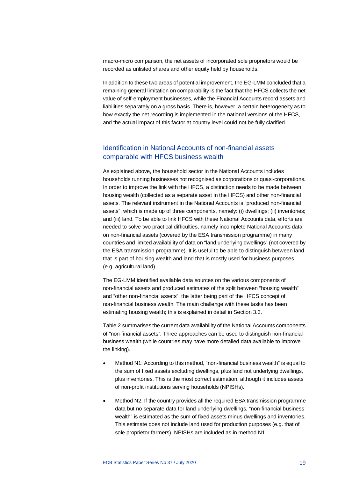macro-micro comparison, the net assets of incorporated sole proprietors would be recorded as unlisted shares and other equity held by households.

In addition to these two areas of potential improvement, the EG-LMM concluded that a remaining general limitation on comparability is the fact that the HFCS collects the net value of self-employment businesses, while the Financial Accounts record assets and liabilities separately on a gross basis. There is, however, a certain heterogeneity as to how exactly the net recording is implemented in the national versions of the HFCS, and the actual impact of this factor at country level could not be fully clarified.

## Identification in National Accounts of non-financial assets comparable with HFCS business wealth

As explained above, the household sector in the National Accounts includes households running businesses not recognised as corporations or quasi-corporations. In order to improve the link with the HFCS, a distinction needs to be made between housing wealth (collected as a separate asset in the HFCS) and other non-financial assets. The relevant instrument in the National Accounts is "produced non-financial assets", which is made up of three components, namely: (i) dwellings; (ii) inventories; and (iii) land. To be able to link HFCS with these National Accounts data, efforts are needed to solve two practical difficulties, namely incomplete National Accounts data on non-financial assets (covered by the ESA transmission programme) in many countries and limited availability of data on "land underlying dwellings" (not covered by the ESA transmission programme). It is useful to be able to distinguish between land that is part of housing wealth and land that is mostly used for business purposes (e.g. agricultural land).

The EG-LMM identified available data sources on the various components of non-financial assets and produced estimates of the split between "housing wealth" and "other non-financial assets", the latter being part of the HFCS concept of non-financial business wealth. The main challenge with these tasks has been estimating housing wealth; this is explained in detail in Section 3.3.

Table 2 summarises the current data availability of the National Accounts components of "non-financial assets". Three approaches can be used to distinguish non-financial business wealth (while countries may have more detailed data available to improve the linking).

- Method N1: According to this method, "non-financial business wealth" is equal to the sum of fixed assets excluding dwellings, plus land not underlying dwellings, plus inventories. This is the most correct estimation, although it includes assets of non-profit institutions serving households (NPISHs).
- Method N2: If the country provides all the required ESA transmission programme data but no separate data for land underlying dwellings, "non-financial business wealth" is estimated as the sum of fixed assets minus dwellings and inventories. This estimate does not include land used for production purposes (e.g. that of sole proprietor farmers). NPISHs are included as in method N1.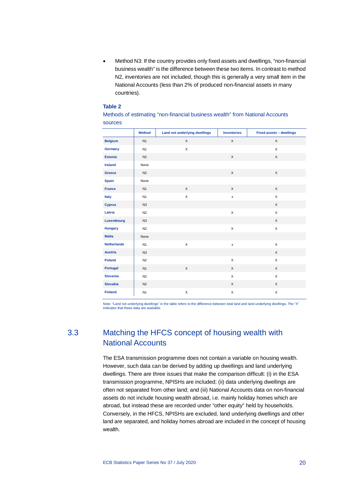• Method N3: If the country provides only fixed assets and dwellings, "non-financial business wealth" is the difference between these two items. In contrast to method N2, inventories are not included, though this is generally a very small item in the National Accounts (less than 2% of produced non-financial assets in many countries).

#### **Table 2**

|                    | <b>Method</b>  | Land not underlying dwellings | <b>Inventories</b>        | Fixed assets - dwellings |
|--------------------|----------------|-------------------------------|---------------------------|--------------------------|
| <b>Belgium</b>     | N1             | $\times$                      | $\times$                  | $\times$                 |
| Germany            | N1             | $\mathsf X$                   |                           | X                        |
| <b>Estonia</b>     | N <sub>2</sub> |                               | X                         | $\mathsf X$              |
| <b>Ireland</b>     | None           |                               |                           |                          |
| Greece             | N <sub>2</sub> |                               | $\mathsf X$               | $\mathsf X$              |
| <b>Spain</b>       | None           |                               |                           |                          |
| <b>France</b>      | N1             | $\times$                      | $\mathsf{X}$              | $\mathsf X$              |
| Italy              | N1             | X                             | $\boldsymbol{\mathsf{x}}$ | $\mathsf{X}$             |
| <b>Cyprus</b>      | N3             |                               |                           | $\mathsf{X}$             |
| Latvia             | N <sub>2</sub> |                               | $\mathsf X$               | $\mathsf{X}$             |
| Luxembourg         | N3             |                               |                           | $\mathsf X$              |
| <b>Hungary</b>     | N2             |                               | $\mathsf X$               | $\pmb{\times}$           |
| <b>Malta</b>       | None           |                               |                           |                          |
| <b>Netherlands</b> | N1             | $\times$                      | x                         | $\mathsf{X}$             |
| <b>Austria</b>     | N3             |                               |                           | $\mathsf{X}$             |
| Poland             | N2             |                               | $\mathsf X$               | X                        |
| <b>Portugal</b>    | N1             | X                             | $\mathsf X$               | X                        |
| <b>Slovenia</b>    | N <sub>2</sub> |                               | $\pmb{\times}$            | $\mathsf{x}$             |
| <b>Slovakia</b>    | N2             |                               | $\mathsf{X}$              | $\mathsf{X}$             |
| <b>Finland</b>     | N <sub>1</sub> | $\mathsf X$                   | $\mathsf X$               | X                        |
|                    |                |                               |                           |                          |

#### Methods of estimating "non-financial business wealth" from National Accounts sources

<span id="page-20-0"></span>Note: "Land not underlying dwellings" in the table refers to the difference between total land and land underlying dwellings. The "X" indicates that these data are available.

## 3.3 Matching the HFCS concept of housing wealth with National Accounts

The ESA transmission programme does not contain a variable on housing wealth. However, such data can be derived by adding up dwellings and land underlying dwellings. There are three issues that make the comparison difficult: (i) in the ESA transmission programme, NPISHs are included; (ii) data underlying dwellings are often not separated from other land; and (iii) National Accounts data on non-financial assets do not include housing wealth abroad, i.e. mainly holiday homes which are abroad, but instead these are recorded under "other equity" held by households. Conversely, in the HFCS, NPISHs are excluded, land underlying dwellings and other land are separated, and holiday homes abroad are included in the concept of housing wealth.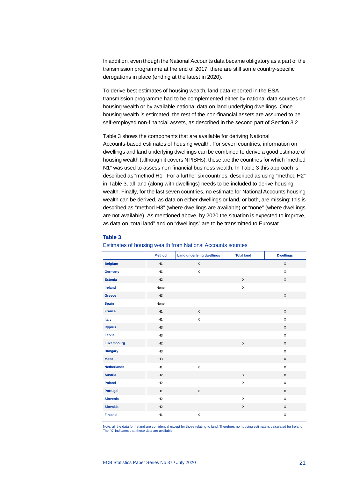In addition, even though the National Accounts data became obligatory as a part of the transmission programme at the end of 2017, there are still some country-specific derogations in place (ending at the latest in 2020).

To derive best estimates of housing wealth, land data reported in the ESA transmission programme had to be complemented either by national data sources on housing wealth or by available national data on land underlying dwellings. Once housing wealth is estimated, the rest of the non-financial assets are assumed to be self-employed non-financial assets, as described in the second part of Section 3.2.

Table 3 shows the components that are available for deriving National Accounts-based estimates of housing wealth. For seven countries, information on dwellings and land underlying dwellings can be combined to derive a good estimate of housing wealth (although it covers NPISHs): these are the countries for which "method N1" was used to assess non-financial business wealth. In Table 3 this approach is described as "method H1". For a further six countries, described as using "method H2" in Table 3, all land (along with dwellings) needs to be included to derive housing wealth. Finally, for the last seven countries, no estimate for National Accounts housing wealth can be derived, as data on either dwellings or land, or both, are missing: this is described as "method H3" (where dwellings are available) or "none" (where dwellings are not available). As mentioned above, by 2020 the situation is expected to improve, as data on "total land" and on "dwellings" are to be transmitted to Eurostat.

#### **Table 3**

|                    | <b>Method</b>  | <b>Land underlying dwellings</b> | <b>Total land</b> | <b>Dwellings</b>          |
|--------------------|----------------|----------------------------------|-------------------|---------------------------|
| <b>Belgium</b>     | H1             | X                                |                   | X                         |
| Germany            | H1             | X                                |                   | X                         |
| <b>Estonia</b>     | H2             |                                  | $\mathsf X$       | $\mathsf X$               |
| <b>Ireland</b>     | None           |                                  | X                 |                           |
| Greece             | H3             |                                  |                   | $\mathsf X$               |
| <b>Spain</b>       | None           |                                  |                   |                           |
| <b>France</b>      | H1             | $\mathsf{X}$                     |                   | $\mathsf X$               |
| Italy              | H1             | X                                |                   | X                         |
| <b>Cyprus</b>      | H <sub>3</sub> |                                  |                   | $\mathsf X$               |
| Latvia             | H <sub>3</sub> |                                  |                   | $\boldsymbol{\mathsf{X}}$ |
| Luxembourg         | H2             |                                  | $\mathsf X$       | $\mathsf X$               |
| <b>Hungary</b>     | H <sub>3</sub> |                                  |                   | X                         |
| <b>Malta</b>       | H <sub>3</sub> |                                  |                   | $\mathsf X$               |
| <b>Netherlands</b> | H1             | X                                |                   | X                         |
| <b>Austria</b>     | H2             |                                  | $\mathsf{X}$      | X                         |
| <b>Poland</b>      | H2             |                                  | X                 | X                         |
| <b>Portugal</b>    | H1             | X                                |                   | X                         |
| <b>Slovenia</b>    | H2             |                                  | X                 | $\boldsymbol{\mathsf{X}}$ |
| <b>Slovakia</b>    | H2             |                                  | X                 | X                         |
| <b>Finland</b>     | H1             | X                                |                   | X                         |

#### Estimates of housing wealth from National Accounts sources

Note: all the data for Ireland are confidential except for those relating to land. Therefore, no housing estimate is calculated for Ireland. The "X" indicates that these data are available.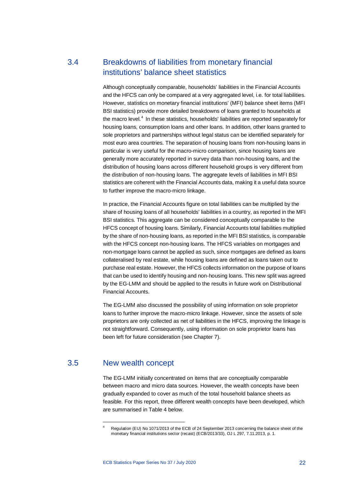## 3.4 Breakdowns of liabilities from monetary financial institutions' balance sheet statistics

<span id="page-22-0"></span>Although conceptually comparable, households' liabilities in the Financial Accounts and the HFCS can only be compared at a very aggregated level, i.e. for total liabilities. However, statistics on monetary financial institutions' (MFI) balance sheet items (MFI BSI statistics) provide more detailed breakdowns of loans granted to households at the macro level.<sup>[4](#page-22-2)</sup> In these statistics, households' liabilities are reported separately for housing loans, consumption loans and other loans. In addition, other loans granted to sole proprietors and partnerships without legal status can be identified separately for most euro area countries. The separation of housing loans from non-housing loans in particular is very useful for the macro-micro comparison, since housing loans are generally more accurately reported in survey data than non-housing loans, and the distribution of housing loans across different household groups is very different from the distribution of non-housing loans. The aggregate levels of liabilities in MFI BSI statistics are coherent with the Financial Accounts data, making it a useful data source to further improve the macro-micro linkage.

In practice, the Financial Accounts figure on total liabilities can be multiplied by the share of housing loans of all households' liabilities in a country, as reported in the MFI BSI statistics. This aggregate can be considered conceptually comparable to the HFCS concept of housing loans. Similarly, Financial Accounts total liabilities multiplied by the share of non-housing loans, as reported in the MFI BSI statistics, is comparable with the HFCS concept non-housing loans. The HFCS variables on mortgages and non-mortgage loans cannot be applied as such, since mortgages are defined as loans collateralised by real estate, while housing loans are defined as loans taken out to purchase real estate. However, the HFCS collects information on the purpose of loans that can be used to identify housing and non-housing loans. This new split was agreed by the EG-LMM and should be applied to the results in future work on Distributional Financial Accounts.

The EG-LMM also discussed the possibility of using information on sole proprietor loans to further improve the macro-micro linkage. However, since the assets of sole proprietors are only collected as net of liabilities in the HFCS, improving the linkage is not straightforward. Consequently, using information on sole proprietor loans has been left for future consideration (see Chapter 7).

## <span id="page-22-2"></span>3.5 New wealth concept

1

<span id="page-22-1"></span>The EG-LMM initially concentrated on items that are conceptually comparable between macro and micro data sources. However, the wealth concepts have been gradually expanded to cover as much of the total household balance sheets as feasible. For this report, three different wealth concepts have been developed, which are summarised in Table 4 below.

Regulation (EU) No 1071/2013 of the ECB of 24 September 2013 concerning the balance sheet of the monetary financial institutions sector (recast) (ECB/2013/33), OJ L 297, 7.11.2013, p. 1.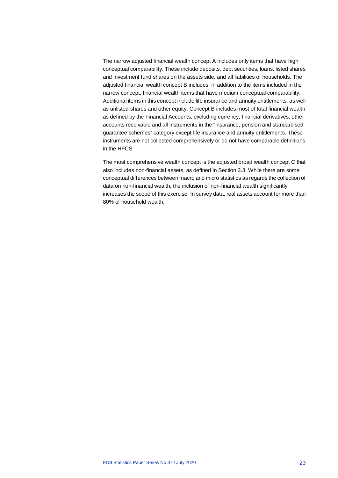The narrow adjusted financial wealth concept A includes only items that have high conceptual comparability. These include deposits, debt securities, loans, listed shares and investment fund shares on the assets side, and all liabilities of households. The adjusted financial wealth concept B includes, in addition to the items included in the narrow concept, financial wealth items that have medium conceptual comparability. Additional items in this concept include life insurance and annuity entitlements, as well as unlisted shares and other equity. Concept B includes most of total financial wealth as defined by the Financial Accounts, excluding currency, financial derivatives, other accounts receivable and all instruments in the "insurance, pension and standardised guarantee schemes" category except life insurance and annuity entitlements. These instruments are not collected comprehensively or do not have comparable definitions in the HFCS.

The most comprehensive wealth concept is the adjusted broad wealth concept C that also includes non-financial assets, as defined in Section 3.3. While there are some conceptual differences between macro and micro statistics as regards the collection of data on non-financial wealth, the inclusion of non-financial wealth significantly increases the scope of this exercise. In survey data, real assets account for more than 80% of household wealth.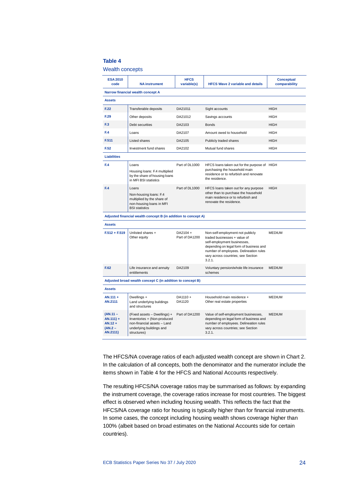#### **Table 4**

#### Wealth concepts

| <b>ESA 2010</b><br>code                                          | <b>NA instrument</b>                                                                                                                  | <b>HFCS</b><br>variable(s) | <b>HFCS Wave 2 variable and details</b>                                                                                                                                                                                                               | <b>Conceptual</b><br>comparability |
|------------------------------------------------------------------|---------------------------------------------------------------------------------------------------------------------------------------|----------------------------|-------------------------------------------------------------------------------------------------------------------------------------------------------------------------------------------------------------------------------------------------------|------------------------------------|
|                                                                  | Narrow financial wealth concept A                                                                                                     |                            |                                                                                                                                                                                                                                                       |                                    |
| <b>Assets</b>                                                    |                                                                                                                                       |                            |                                                                                                                                                                                                                                                       |                                    |
| F.22                                                             | Transferable deposits                                                                                                                 | DA21011                    | Sight accounts                                                                                                                                                                                                                                        | <b>HIGH</b>                        |
| F.29                                                             | Other deposits                                                                                                                        | DA21012                    | Savings accounts                                                                                                                                                                                                                                      | <b>HIGH</b>                        |
| F.3                                                              | Debt securities                                                                                                                       | DA2103                     | <b>Bonds</b>                                                                                                                                                                                                                                          | <b>HIGH</b>                        |
| F.4                                                              | Loans                                                                                                                                 | DA2107                     | Amount owed to household                                                                                                                                                                                                                              | <b>HIGH</b>                        |
| F.511                                                            | <b>Listed shares</b>                                                                                                                  | DA2105                     | Publicly traded shares                                                                                                                                                                                                                                | <b>HIGH</b>                        |
| F.52                                                             | Investment fund shares                                                                                                                | DA2102                     | Mutual fund shares                                                                                                                                                                                                                                    | <b>HIGH</b>                        |
| <b>Liabilities</b>                                               |                                                                                                                                       |                            |                                                                                                                                                                                                                                                       |                                    |
| F.4                                                              | Loans<br>Housing loans: F.4 multiplied<br>by the share of housing loans<br>in MFI BSI statistics                                      | Part of DL1000             | HFCS loans taken out for the purpose of HIGH<br>purchasing the household main<br>residence or to refurbish and renovate<br>the residence.                                                                                                             |                                    |
| F.4                                                              | Loans<br>Non-housing loans: F.4<br>multiplied by the share of<br>non-housing loans in MFI<br><b>BSI</b> statistics                    | Part of DL1000             | HFCS loans taken out for any purpose<br>other than to purchase the household<br>main residence or to refurbish and<br>renovate the residence.                                                                                                         | <b>HIGH</b>                        |
|                                                                  | Adjusted financial wealth concept B (in addition to concept A)                                                                        |                            |                                                                                                                                                                                                                                                       |                                    |
| <b>Assets</b>                                                    |                                                                                                                                       |                            |                                                                                                                                                                                                                                                       |                                    |
| $F.512 + F.519$                                                  | Unlisted shares +<br>Other equity                                                                                                     | DA2104 +<br>Part of DA1200 | <b>MEDIUM</b><br>Non-self-employment not publicly<br>traded businesses + value of<br>self-employment businesses,<br>depending on legal form of business and<br>number of employees. Delineation rules<br>vary across countries; see Section<br>3.2.1. |                                    |
| F.62                                                             | Life insurance and annuity<br>entitlements                                                                                            | DA2109                     | Voluntary pension/whole life insurance<br>schemes                                                                                                                                                                                                     | <b>MEDIUM</b>                      |
|                                                                  | Adjusted broad wealth concept C (in addition to concept B)                                                                            |                            |                                                                                                                                                                                                                                                       |                                    |
| <b>Assets</b>                                                    |                                                                                                                                       |                            |                                                                                                                                                                                                                                                       |                                    |
| $AN.111 +$<br>AN.2111                                            | Dwellings +<br>Land underlying buildings<br>and structures                                                                            | DA1110+<br>DA1120          | Household main residence +<br>Other real estate properties                                                                                                                                                                                            | <b>MEDIUM</b>                      |
| $(AN.11 -$<br>$AN.111$ ) +<br>$AN.12 +$<br>$(AN.2 -$<br>AN.2111) | (Fixed assets - Dwellings) +<br>Inventories + (Non-produced<br>non-financial assets - Land<br>underlying buildings and<br>structures) | Part of DA1200             | Value of self-employment businesses,<br>depending on legal form of business and<br>number of employees. Delineation rules<br>vary across countries; see Section<br>3.2.1.                                                                             | <b>MEDIUM</b>                      |

The HFCS/NA coverage ratios of each adjusted wealth concept are shown in Chart 2. In the calculation of all concepts, both the denominator and the numerator include the items shown in Table 4 for the HFCS and National Accounts respectively.

The resulting HFCS/NA coverage ratios may be summarised as follows: by expanding the instrument coverage, the coverage ratios increase for most countries. The biggest effect is observed when including housing wealth. This reflects the fact that the HFCS/NA coverage ratio for housing is typically higher than for financial instruments. In some cases, the concept including housing wealth shows coverage higher than 100% (albeit based on broad estimates on the National Accounts side for certain countries).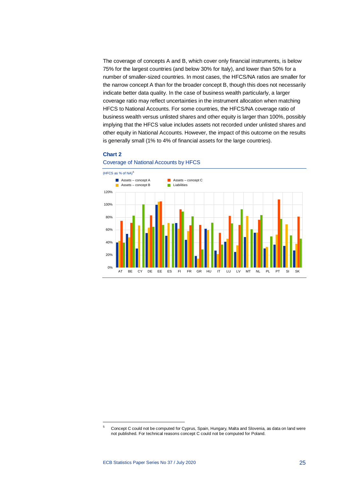The coverage of concepts A and B, which cover only financial instruments, is below 75% for the largest countries (and below 30% for Italy), and lower than 50% for a number of smaller-sized countries. In most cases, the HFCS/NA ratios are smaller for the narrow concept A than for the broader concept B, though this does not necessarily indicate better data quality. In the case of business wealth particularly, a larger coverage ratio may reflect uncertainties in the instrument allocation when matching HFCS to National Accounts. For some countries, the HFCS/NA coverage ratio of business wealth versus unlisted shares and other equity is larger than 100%, possibly implying that the HFCS value includes assets not recorded under unlisted shares and other equity in National Accounts. However, the impact of this outcome on the results is generally small (1% to 4% of financial assets for the large countries).

#### **Chart 2**



Coverage of National Accounts by HFCS

<span id="page-25-0"></span>1

<sup>5</sup> Concept C could not be computed for Cyprus, Spain, Hungary, Malta and Slovenia, as data on land were not published. For technical reasons concept C could not be computed for Poland.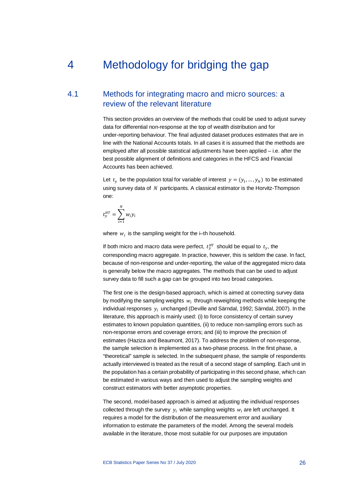## <span id="page-26-0"></span>4 Methodology for bridging the gap

## 4.1 Methods for integrating macro and micro sources: a review of the relevant literature

<span id="page-26-1"></span>This section provides an overview of the methods that could be used to adjust survey data for differential non-response at the top of wealth distribution and for under-reporting behaviour. The final adjusted dataset produces estimates that are in line with the National Accounts totals. In all cases it is assumed that the methods are employed after all possible statistical adjustments have been applied – i.e. after the best possible alignment of definitions and categories in the HFCS and Financial Accounts has been achieved.

Let  $t_v$  be the population total for variable of interest  $y = (y_1, ..., y_N)$  to be estimated using survey data of  $N$  participants. A classical estimator is the Horvitz-Thompson one:

$$
t_{y}^{HT} = \sum_{i=1}^{N} w_{i} y_{i}
$$

where  $w_i$  is the sampling weight for the i–th household.

If both micro and macro data were perfect,  $t^{HT}_y$  should be equal to  $t_y$ , the corresponding macro aggregate. In practice, however, this is seldom the case. In fact, because of non-response and under-reporting, the value of the aggregated micro data is generally below the macro aggregates. The methods that can be used to adjust survey data to fill such a gap can be grouped into two broad categories.

The first one is the design-based approach, which is aimed at correcting survey data by modifying the sampling weights  $w_i$  through reweighting methods while keeping the individual responses  $y_i$  unchanged (Deville and Särndal, 1992; Särndal, 2007). In the literature, this approach is mainly used: (i) to force consistency of certain survey estimates to known population quantities, (ii) to reduce non-sampling errors such as non-response errors and coverage errors; and (iii) to improve the precision of estimates (Haziza and Beaumont, 2017). To address the problem of non-response, the sample selection is implemented as a two-phase process. In the first phase, a "theoretical" sample is selected. In the subsequent phase, the sample of respondents actually interviewed is treated as the result of a second stage of sampling. Each unit in the population has a certain probability of participating in this second phase, which can be estimated in various ways and then used to adjust the sampling weights and construct estimators with better asymptotic properties.

The second, model-based approach is aimed at adjusting the individual responses collected through the survey  $y_i$  while sampling weights  $w_i$  are left unchanged. It requires a model for the distribution of the measurement error and auxiliary information to estimate the parameters of the model. Among the several models available in the literature, those most suitable for our purposes are imputation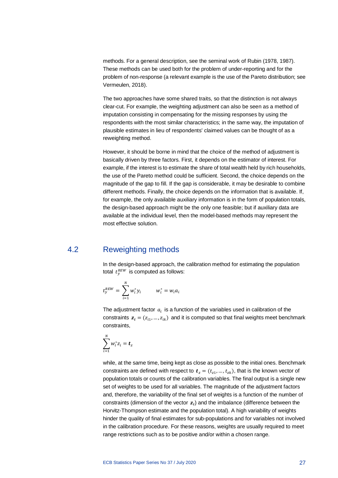methods. For a general description, see the seminal work of Rubin (1978, 1987). These methods can be used both for the problem of under-reporting and for the problem of non-response (a relevant example is the use of the Pareto distribution; see Vermeulen, 2018).

The two approaches have some shared traits, so that the distinction is not always clear-cut. For example, the weighting adjustment can also be seen as a method of imputation consisting in compensating for the missing responses by using the respondents with the most similar characteristics; in the same way, the imputation of plausible estimates in lieu of respondents' claimed values can be thought of as a reweighting method.

However, it should be borne in mind that the choice of the method of adjustment is basically driven by three factors. First, it depends on the estimator of interest. For example, if the interest is to estimate the share of total wealth held by rich households, the use of the Pareto method could be sufficient. Second, the choice depends on the magnitude of the gap to fill. If the gap is considerable, it may be desirable to combine different methods. Finally, the choice depends on the information that is available. If, for example, the only available auxiliary information is in the form of population totals, the design-based approach might be the only one feasible; but if auxiliary data are available at the individual level, then the model-based methods may represent the most effective solution.

## 4.2 Reweighting methods

<span id="page-27-0"></span>In the design-based approach, the calibration method for estimating the population total  $t_\mathsf{y}^\mathit{REW}$  is computed as follows:

$$
t_{y}^{REW} = \sum_{i=1}^{N} w_{i}^{*} y_{i} \qquad \quad w_{i}^{*} = w_{i} a_{i}
$$

The adjustment factor  $a_i$  is a function of the variables used in calibration of the constraints  $z_i = (z_{i1},..., z_{ik})$  and it is computed so that final weights meet benchmark constraints,

$$
\sum_{i=1}^N w_i^* z_i = \boldsymbol{t}_z
$$

while, at the same time, being kept as close as possible to the initial ones. Benchmark constraints are defined with respect to  $t_z = (t_{z1},..., t_{zk})$ , that is the known vector of population totals or counts of the calibration variables. The final output is a single new set of weights to be used for all variables. The magnitude of the adjustment factors and, therefore, the variability of the final set of weights is a function of the number of constraints (dimension of the vector  $z_i$ ) and the imbalance (difference between the Horvitz-Thompson estimate and the population total). A high variability of weights hinder the quality of final estimates for sub-populations and for variables not involved in the calibration procedure. For these reasons, weights are usually required to meet range restrictions such as to be positive and/or within a chosen range.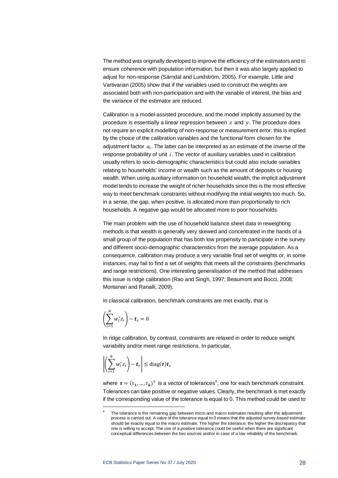The method was originally developed to improve the efficiency of the estimators and to ensure coherence with population information, but then it was also largely applied to adjust for non-response (Särndal and Lundström, 2005). For example, Little and Vartivarian (2005) show that if the variables used to construct the weights are associated both with non-participation and with the variable of interest, the bias and the variance of the estimator are reduced.

Calibration is a model-assisted procedure, and the model implicitly assumed by the procedure is essentially a linear regression between  $z$  and  $y$ . The procedure does not require an explicit modelling of non-response or measurement error: this is implied by the choice of the calibration variables and the functional form chosen for the adjustment factor  $a_i$ . The latter can be interpreted as an estimate of the inverse of the response probability of unit  $i$ . The vector of auxiliary variables used in calibration usually refers to socio-demographic characteristics but could also include variables relating to households' income or wealth such as the amount of deposits or housing wealth. When using auxiliary information on household wealth, the implicit adjustment model tends to increase the weight of richer households since this is the most effective way to meet benchmark constraints without modifying the initial weights too much. So, in a sense, the gap, when positive, is allocated more than proportionally to rich households. A negative gap would be allocated more to poor households.

The main problem with the use of household balance sheet data in reweighting methods is that wealth is generally very skewed and concentrated in the hands of a small group of the population that has both low propensity to participate in the survey and different socio-demographic characteristics from the average population. As a consequence, calibration may produce a very variable final set of weights or, in some instances, may fail to find a set of weights that meets all the constraints (benchmarks and range restrictions). One interesting generalisation of the method that addresses this issue is ridge calibration (Rao and Singh, 1997; Beaumont and Bocci, 2008; Montanari and Ranalli, 2009).

In classical calibration, benchmark constraints are met exactly, that is

$$
\left(\sum_{i=1}^N w_i^* z_i\right) - \boldsymbol{t}_z = 0
$$

<span id="page-28-0"></span> $\overline{a}$ 

In ridge calibration, by contrast, constraints are relaxed in order to reduce weight variability and/or meet range restrictions. In particular,

$$
\left|\left(\sum_{i=1}^N w_i^* z_i\right) - \mathbf{t}_z\right| \leq \text{diag}(\boldsymbol{\tau}) \mathbf{t}_z
$$

where  $\boldsymbol{\tau} = (\tau_1, ..., \tau_k)^T$  is a vector of tolerances<sup>[6](#page-28-0)</sup>, one for each benchmark constraint. Tolerances can take positive or negative values. Clearly, the benchmark is met exactly if the corresponding value of the tolerance is equal to 0. This method could be used to

The tolerance is the remaining gap between micro and macro estimates resulting after the adjustment process is carried out. A value of the tolerance equal to 0 means that the adjusted survey-based estimate should be exactly equal to the macro estimate. The higher the tolerance, the higher the discrepancy that one is willing to accept. The use of a positive tolerance could be useful when there are significant conceptual differences between the two sources and/or in case of a low reliability of the benchmark.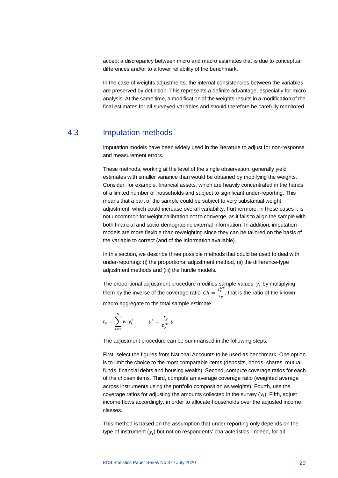accept a discrepancy between micro and macro estimates that is due to conceptual differences and/or to a lower reliability of the benchmark.

In the case of weights adjustments, the internal consistencies between the variables are preserved by definition. This represents a definite advantage, especially for micro analysis. At the same time, a modification of the weights results in a modification of the final estimates for all surveyed variables and should therefore be carefully monitored.

### 4.3 Imputation methods

<span id="page-29-0"></span>Imputation models have been widely used in the literature to adjust for non-response and measurement errors.

These methods, working at the level of the single observation, generally yield estimates with smaller variance than would be obtained by modifying the weights. Consider, for example, financial assets, which are heavily concentrated in the hands of a limited number of households and subject to significant under-reporting. This means that a part of the sample could be subject to very substantial weight adjustment, which could increase overall variability. Furthermore, in these cases it is not uncommon for weight calibration not to converge, as it fails to align the sample with both financial and socio-demographic external information. In addition, imputation models are more flexible than reweighting since they can be tailored on the basis of the variable to correct (and of the information available).

In this section, we describe three possible methods that could be used to deal with under-reporting: (i) the proportional adjustment method, (ii) the difference-type adjustment methods and (iii) the hurdle models.

The proportional adjustment procedure modifies sample values  $y_i$  by multiplying them by the inverse of the coverage ratio  $CR = \frac{t_y^{HT}}{t_w}$  $\frac{y}{t_y}$ , that is the ratio of the known macro aggregate to the total sample estimate.

$$
t_{y} = \sum_{i=1}^{N} w_{i} y_{i}^{*} \qquad y_{i}^{*} = \frac{t_{y}}{t_{y}^{HT}} y_{i}
$$

The adjustment procedure can be summarised in the following steps.

First, select the figures from National Accounts to be used as benchmark. One option is to limit the choice to the most comparable items (deposits, bonds, shares, mutual funds, financial debts and housing wealth). Second, compute coverage ratios for each of the chosen items. Third, compute an average coverage ratio (weighted average across instruments using the portfolio composition as weights). Fourth, use the coverage ratios for adjusting the amounts collected in the survey  $(y_i)$ . Fifth, adjust income flows accordingly, in order to allocate households over the adjusted income classes.

This method is based on the assumption that under-reporting only depends on the type of instrument  $(y_i)$  but not on respondents' characteristics. Indeed, for all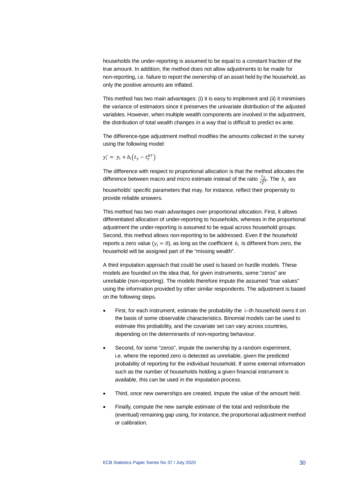households the under-reporting is assumed to be equal to a constant fraction of the true amount. In addition, the method does not allow adjustments to be made for non-reporting, i.e. failure to report the ownership of an asset held by the household, as only the positive amounts are inflated.

This method has two main advantages: (i) it is easy to implement and (ii) it minimises the variance of estimators since it preserves the univariate distribution of the adjusted variables. However, when multiple wealth components are involved in the adjustment, the distribution of total wealth changes in a way that is difficult to predict ex ante.

The difference-type adjustment method modifies the amounts collected in the survey using the following model:

$$
y_i^* = y_i + b_i(t_y - t_y^{\text{HT}})
$$

The difference with respect to proportional allocation is that the method allocates the difference between macro and micro estimate instead of the ratio  $\frac{t_{\mathcal{Y}}}{t_{\mathcal{Y}}^{HT}}$ . The  $\,b_i\,$  are

households' specific parameters that may, for instance, reflect their propensity to provide reliable answers.

This method has two main advantages over proportional allocation. First, it allows differentiated allocation of under-reporting to households, whereas in the proportional adjustment the under-reporting is assumed to be equal across household groups. Second, this method allows non-reporting to be addressed. Even if the household reports a zero value ( $y_i = 0$ ), as long as the coefficient  $b_i$  is different from zero, the household will be assigned part of the "missing wealth".

A third imputation approach that could be used is based on hurdle models. These models are founded on the idea that, for given instruments, some "zeros" are unreliable (non-reporting). The models therefore impute the assumed "true values" using the information provided by other similar respondents. The adjustment is based on the following steps.

- First, for each instrument, estimate the probability the  $i$ -th household owns it on the basis of some observable characteristics. Binomial models can be used to estimate this probability, and the covariate set can vary across countries, depending on the determinants of non-reporting behaviour.
- Second, for some "zeros", impute the ownership by a random experiment, i.e. where the reported zero is detected as unreliable, given the predicted probability of reporting for the individual household. If some external information such as the number of households holding a given financial instrument is available, this can be used in the imputation process.
- Third, once new ownerships are created, impute the value of the amount held.
- Finally, compute the new sample estimate of the total and redistribute the (eventual) remaining gap using, for instance, the proportional adjustment method or calibration.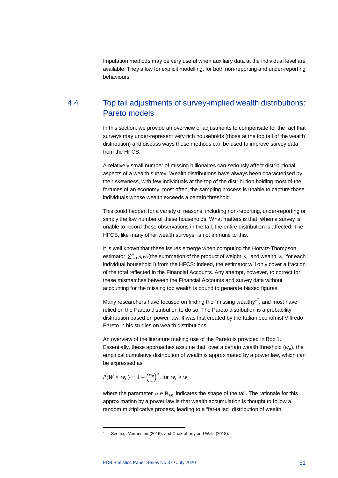<span id="page-31-0"></span>Imputation methods may be very useful when auxiliary data at the individual level are available. They allow for explicit modelling, for both non-reporting and under-reporting behaviours.

## 4.4 Top tail adjustments of survey-implied wealth distributions: Pareto models

In this section, we provide an overview of adjustments to compensate for the fact that surveys may under-represent very rich households (those at the top tail of the wealth distribution) and discuss ways these methods can be used to improve survey data from the HFCS.

A relatively small number of missing billionaires can seriously affect distributional aspects of a wealth survey. Wealth distributions have always been characterised by their skewness, with few individuals at the top of the distribution holding most of the fortunes of an economy: most often, the sampling process is unable to capture those individuals whose wealth exceeds a certain threshold.

This could happen for a variety of reasons, including non-reporting, under-reporting or simply the low number of these households. What matters is that, when a survey is unable to record these observations in the tail, the entire distribution is affected. The HFCS, like many other wealth surveys, is not immune to this.

It is well known that these issues emerge when computing the Horvitz-Thompson estimator  $\sum_{i=1}^N p_i w_i$ (the summation of the product of weight  $\,p_i\,$  and wealth  $\,w_i\,$  for each individual household i) from the HFCS: indeed, the estimator will only cover a fraction of the total reflected in the Financial Accounts. Any attempt, however, to correct for these mismatches between the Financial Accounts and survey data without accounting for the missing top wealth is bound to generate biased figures.

Many researchers have focused on finding the "missing wealthy"<sup>[7](#page-31-1)</sup>, and most have relied on the Pareto distribution to do so. The Pareto distribution is a probability distribution based on power law. It was first created by the Italian economist Vilfredo Pareto in his studies on wealth distributions.

An overview of the literature making use of the Pareto is provided in Box 1. Essentially, these approaches assume that, over a certain wealth threshold  $(w_0)$ , the empirical cumulative distribution of wealth is approximated by a power law, which can be expressed as:

 $P(W \leq w_i) = 1 - \left(\frac{w_0}{w_i}\right)$  $\frac{w_0}{w_i}$ , for  $w_i \geq w_0$ 

 $\overline{a}$ 

where the parameter  $\alpha \in \mathbb{R}_{\geq 0}$  indicates the shape of the tail. The rationale for this approximation by a power law is that wealth accumulation is thought to follow a random multiplicative process, leading to a "fat-tailed" distribution of wealth.

<span id="page-31-1"></span>See e.g. Vermeulen (2016), and Chakraborty and Waltl (2018).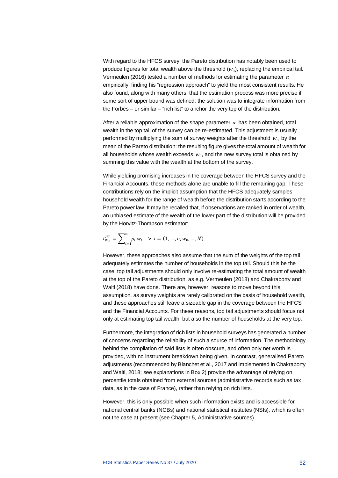With regard to the HFCS survey, the Pareto distribution has notably been used to produce figures for total wealth above the threshold  $(w_0)$ , replacing the empirical tail. Vermeulen (2016) tested a number of methods for estimating the parameter  $\alpha$ empirically, finding his "regression approach" to yield the most consistent results. He also found, along with many others, that the estimation process was more precise if some sort of upper bound was defined: the solution was to integrate information from the Forbes – or similar – "rich list" to anchor the very top of the distribution.

After a reliable approximation of the shape parameter  $\alpha$  has been obtained, total wealth in the top tail of the survey can be re-estimated. This adjustment is usually performed by multiplying the sum of survey weights after the threshold  $w_0$  by the mean of the Pareto distribution: the resulting figure gives the total amount of wealth for all households whose wealth exceeds  $w_0$ , and the new survey total is obtained by summing this value with the wealth at the bottom of the survey.

While yielding promising increases in the coverage between the HFCS survey and the Financial Accounts, these methods alone are unable to fill the remaining gap. These contributions rely on the implicit assumption that the HFCS adequately samples household wealth for the range of wealth before the distribution starts according to the Pareto power law. It may be recalled that, if observations are ranked in order of wealth, an unbiased estimate of the wealth of the lower part of the distribution will be provided by the Horvitz-Thompson estimator:

$$
t_{W_b}^{HT} = \sum_{i=1}^{n} p_i w_i \quad \forall \ i = (1, ..., n, w_0, ..., N)
$$

However, these approaches also assume that the sum of the weights of the top tail adequately estimates the number of households in the top tail. Should this be the case, top tail adjustments should only involve re-estimating the total amount of wealth at the top of the Pareto distribution, as e.g. Vermeulen (2018) and Chakraborty and Waltl (2018) have done. There are, however, reasons to move beyond this assumption, as survey weights are rarely calibrated on the basis of household wealth, and these approaches still leave a sizeable gap in the coverage between the HFCS and the Financial Accounts. For these reasons, top tail adjustments should focus not only at estimating top tail wealth, but also the number of households at the very top.

Furthermore, the integration of rich lists in household surveys has generated a number of concerns regarding the reliability of such a source of information. The methodology behind the compilation of said lists is often obscure, and often only net worth is provided, with no instrument breakdown being given. In contrast, generalised Pareto adjustments (recommended by Blanchet et al., 2017 and implemented in Chakraborty and Waltl, 2018; see explanations in Box 2) provide the advantage of relying on percentile totals obtained from external sources (administrative records such as tax data, as in the case of France), rather than relying on rich lists.

However, this is only possible when such information exists and is accessible for national central banks (NCBs) and national statistical institutes (NSIs), which is often not the case at present (see Chapter 5, Administrative sources).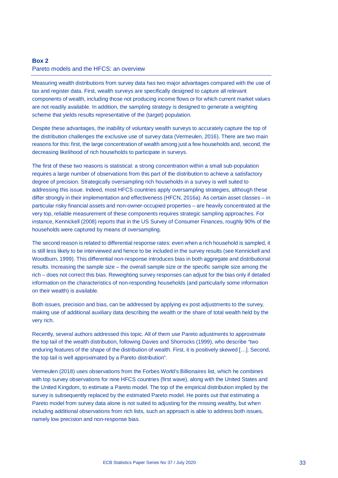## <span id="page-33-0"></span>**Box 2** Pareto models and the HFCS: an overview

Measuring wealth distributions from survey data has two major advantages compared with the use of tax and register data. First, wealth surveys are specifically designed to capture all relevant components of wealth, including those not producing income flows or for which current market values are not readily available. In addition, the sampling strategy is designed to generate a weighting scheme that yields results representative of the (target) population.

Despite these advantages, the inability of voluntary wealth surveys to accurately capture the top of the distribution challenges the exclusive use of survey data (Vermeulen, 2016). There are two main reasons for this: first, the large concentration of wealth among just a few households and, second, the decreasing likelihood of rich households to participate in surveys.

The first of these two reasons is statistical: a strong concentration within a small sub-population requires a large number of observations from this part of the distribution to achieve a satisfactory degree of precision. Strategically oversampling rich households in a survey is well suited to addressing this issue. Indeed, most HFCS countries apply oversampling strategies, although these differ strongly in their implementation and effectiveness (HFCN, 2016a). As certain asset classes – in particular risky financial assets and non-owner-occupied properties – are heavily concentrated at the very top, reliable measurement of these components requires strategic sampling approaches. For instance, Kennickell (2008) reports that in the US Survey of Consumer Finances, roughly 90% of the households were captured by means of oversampling.

The second reason is related to differential response rates: even when a rich household is sampled, it is still less likely to be interviewed and hence to be included in the survey results (see Kennickell and Woodburn, 1999). This differential non-response introduces bias in both aggregate and distributional results. Increasing the sample size – the overall sample size or the specific sample size among the rich – does not correct this bias. Reweighting survey responses can adjust for the bias only if detailed information on the characteristics of non-responding households (and particularly some information on their wealth) is available.

Both issues, precision and bias, can be addressed by applying ex post adjustments to the survey, making use of additional auxiliary data describing the wealth or the share of total wealth held by the very rich.

Recently, several authors addressed this topic. All of them use Pareto adjustments to approximate the top tail of the wealth distribution, following Davies and Shorrocks (1999), who describe "two enduring features of the shape of the distribution of wealth. First, it is positively skewed […]. Second, the top tail is well approximated by a Pareto distribution".

Vermeulen (2018) uses observations from the Forbes World's Billionaires list, which he combines with top survey observations for nine HFCS countries (first wave), along with the United States and the United Kingdom, to estimate a Pareto model. The top of the empirical distribution implied by the survey is subsequently replaced by the estimated Pareto model. He points out that estimating a Pareto model from survey data alone is not suited to adjusting for the missing wealthy, but when including additional observations from rich lists, such an approach is able to address both issues, namely low precision and non-response bias.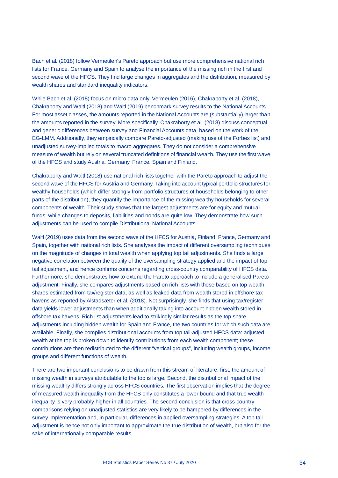Bach et al. (2018) follow Vermeulen's Pareto approach but use more comprehensive national rich lists for France, Germany and Spain to analyse the importance of the missing rich in the first and second wave of the HFCS. They find large changes in aggregates and the distribution, measured by wealth shares and standard inequality indicators.

While Bach et al. (2018) focus on micro data only, Vermeulen (2016), Chakraborty et al. (2018), Chakraborty and Waltl (2018) and Waltl (2019) benchmark survey results to the National Accounts. For most asset classes, the amounts reported in the National Accounts are (substantially) larger than the amounts reported in the survey. More specifically, Chakraborty et al. (2018) discuss conceptual and generic differences between survey and Financial Accounts data, based on the work of the EG-LMM. Additionally, they empirically compare Pareto-adjusted (making use of the Forbes list) and unadjusted survey-implied totals to macro aggregates. They do not consider a comprehensive measure of wealth but rely on several truncated definitions of financial wealth. They use the first wave of the HFCS and study Austria, Germany, France, Spain and Finland.

Chakraborty and Waltl (2018) use national rich lists together with the Pareto approach to adjust the second wave of the HFCS for Austria and Germany. Taking into account typical portfolio structures for wealthy households (which differ strongly from portfolio structures of households belonging to other parts of the distribution), they quantify the importance of the missing wealthy households for several components of wealth. Their study shows that the largest adjustments are for equity and mutual funds, while changes to deposits, liabilities and bonds are quite low. They demonstrate how such adjustments can be used to compile Distributional National Accounts.

Waltl (2019) uses data from the second wave of the HFCS for Austria, Finland, France, Germany and Spain, together with national rich lists. She analyses the impact of different oversampling techniques on the magnitude of changes in total wealth when applying top tail adjustments. She finds a large negative correlation between the quality of the oversampling strategy applied and the impact of top tail adjustment, and hence confirms concerns regarding cross-country comparability of HFCS data. Furthermore, she demonstrates how to extend the Pareto approach to include a generalised Pareto adjustment. Finally, she compares adjustments based on rich lists with those based on top wealth shares estimated from tax/register data, as well as leaked data from wealth stored in offshore tax havens as reported by Alstadsæter et al. (2018). Not surprisingly, she finds that using tax/register data yields lower adjustments than when additionally taking into account hidden wealth stored in offshore tax havens. Rich list adjustments lead to strikingly similar results as the top share adjustments including hidden wealth for Spain and France, the two countries for which such data are available. Finally, she compiles distributional accounts from top tail-adjusted HFCS data: adjusted wealth at the top is broken down to identify contributions from each wealth component; these contributions are then redistributed to the different "vertical groups", including wealth groups, income groups and different functions of wealth.

There are two important conclusions to be drawn from this stream of literature: first, the amount of missing wealth in surveys attributable to the top is large. Second, the distributional impact of the missing wealthy differs strongly across HFCS countries. The first observation implies that the degree of measured wealth inequality from the HFCS only constitutes a lower bound and that true wealth inequality is very probably higher in all countries. The second conclusion is that cross-country comparisons relying on unadjusted statistics are very likely to be hampered by differences in the survey implementation and, in particular, differences in applied oversampling strategies. A top tail adjustment is hence not only important to approximate the true distribution of wealth, but also for the sake of internationally comparable results.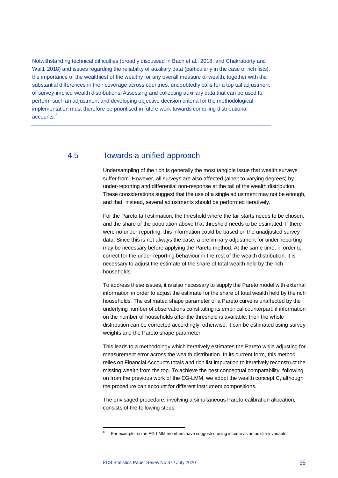Notwithstanding technical difficulties (broadly discussed in Bach et al., 2018, and Chakraborty and Waltl, 2018) and issues regarding the reliability of auxiliary data (particularly in the case of rich lists), the importance of the wealthiest of the wealthy for any overall measure of wealth, together with the substantial differences in their coverage across countries, undoubtedly calls for a top tail adjustment of survey-implied wealth distributions. Assessing and collecting auxiliary data that can be used to perform such an adjustment and developing objective decision criteria for the methodological implementation must therefore be prioritised in future work towards compiling distributional accounts. [8](#page-35-1)

## 4.5 Towards a unified approach

<span id="page-35-0"></span>Undersampling of the rich is generally the most tangible issue that wealth surveys suffer from. However, all surveys are also affected (albeit to varying degrees) by under-reporting and differential non-response at the tail of the wealth distribution. These considerations suggest that the use of a single adjustment may not be enough, and that, instead, several adjustments should be performed iteratively.

For the Pareto tail estimation, the threshold where the tail starts needs to be chosen, and the share of the population above that threshold needs to be estimated. If there were no under-reporting, this information could be based on the unadjusted survey data. Since this is not always the case, a preliminary adjustment for under-reporting may be necessary before applying the Pareto method. At the same time, in order to correct for the under-reporting behaviour in the rest of the wealth distribution, it is necessary to adjust the estimate of the share of total wealth held by the rich households.

To address these issues, it is also necessary to supply the Pareto model with external information in order to adjust the estimate for the share of total wealth held by the rich households. The estimated shape parameter of a Pareto curve is unaffected by the underlying number of observations constituting its empirical counterpart: if information on the number of households after the threshold is available, then the whole distribution can be corrected accordingly; otherwise, it can be estimated using survey weights and the Pareto shape parameter.

This leads to a methodology which iteratively estimates the Pareto while adjusting for measurement error across the wealth distribution. In its current form, this method relies on Financial Accounts totals and rich list imputation to iteratively reconstruct the missing wealth from the top. To achieve the best conceptual comparability, following on from the previous work of the EG-LMM, we adopt the wealth concept C, although the procedure can account for different instrument compositions.

The envisaged procedure, involving a simultaneous Pareto-calibration allocation, consists of the following steps.

 $\overline{a}$ 

<span id="page-35-1"></span><sup>8</sup> For example, some EG-LMM members have suggested using income as an auxiliary variable.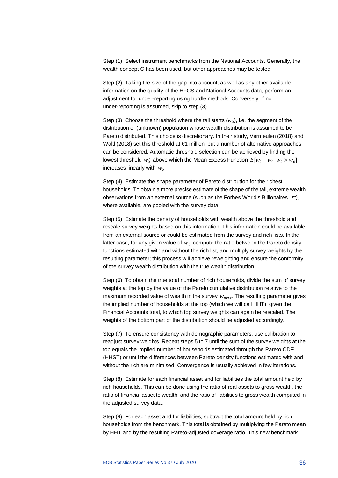Step (1): Select instrument benchmarks from the National Accounts. Generally, the wealth concept C has been used, but other approaches may be tested.

Step (2): Taking the size of the gap into account, as well as any other available information on the quality of the HFCS and National Accounts data, perform an adjustment for under-reporting using hurdle methods. Conversely, if no under-reporting is assumed, skip to step (3).

Step (3): Choose the threshold where the tail starts  $(w_0)$ , i.e. the segment of the distribution of (unknown) population whose wealth distribution is assumed to be Pareto distributed. This choice is discretionary. In their study, Vermeulen (2018) and Waltl (2018) set this threshold at  $\epsilon$ 1 million, but a number of alternative approaches can be considered. Automatic threshold selection can be achieved by finding the lowest threshold  $w_0^*$  above which the Mean Excess Function  $E[w_i - w_0 | w_i > w_0]$ increases linearly with  $w_0$ .

Step (4): Estimate the shape parameter of Pareto distribution for the richest households. To obtain a more precise estimate of the shape of the tail, extreme wealth observations from an external source (such as the Forbes World's Billionaires list), where available, are pooled with the survey data.

Step (5): Estimate the density of households with wealth above the threshold and rescale survey weights based on this information. This information could be available from an external source or could be estimated from the survey and rich lists. In the latter case, for any given value of  $w_i$ , compute the ratio between the Pareto density functions estimated with and without the rich list, and multiply survey weights by the resulting parameter; this process will achieve reweighting and ensure the conformity of the survey wealth distribution with the true wealth distribution.

Step (6): To obtain the true total number of rich households, divide the sum of survey weights at the top by the value of the Pareto cumulative distribution relative to the maximum recorded value of wealth in the survey  $w_{max}$ . The resulting parameter gives the implied number of households at the top (which we will call HHT), given the Financial Accounts total, to which top survey weights can again be rescaled. The weights of the bottom part of the distribution should be adjusted accordingly.

Step (7): To ensure consistency with demographic parameters, use calibration to readjust survey weights. Repeat steps 5 to 7 until the sum of the survey weights at the top equals the implied number of households estimated through the Pareto CDF (HHST) or until the differences between Pareto density functions estimated with and without the rich are minimised. Convergence is usually achieved in few iterations.

Step (8): Estimate for each financial asset and for liabilities the total amount held by rich households. This can be done using the ratio of real assets to gross wealth, the ratio of financial asset to wealth, and the ratio of liabilities to gross wealth computed in the adjusted survey data.

Step (9): For each asset and for liabilities, subtract the total amount held by rich households from the benchmark. This total is obtained by multiplying the Pareto mean by HHT and by the resulting Pareto-adjusted coverage ratio. This new benchmark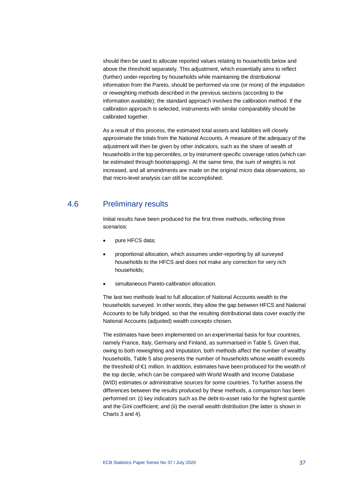should then be used to allocate reported values relating to households below and above the threshold separately. This adjustment, which essentially aims to reflect (further) under-reporting by households while maintaining the distributional information from the Pareto, should be performed via one (or more) of the imputation or reweighting methods described in the previous sections (according to the information available); the standard approach involves the calibration method. If the calibration approach is selected, instruments with similar comparability should be calibrated together.

As a result of this process, the estimated total assets and liabilities will closely approximate the totals from the National Accounts. A measure of the adequacy of the adjustment will then be given by other indicators, such as the share of wealth of households in the top percentiles, or by instrument-specific coverage ratios (which can be estimated through bootstrapping). At the same time, the sum of weights is not increased, and all amendments are made on the original micro data observations, so that micro-level analysis can still be accomplished.

## 4.6 Preliminary results

<span id="page-37-0"></span>Initial results have been produced for the first three methods, reflecting three scenarios:

- pure HFCS data;
- proportional allocation, which assumes under-reporting by all surveyed households to the HFCS and does not make any correction for very rich households;
- simultaneous Pareto-calibration allocation.

The last two methods lead to full allocation of National Accounts wealth to the households surveyed. In other words, they allow the gap between HFCS and National Accounts to be fully bridged, so that the resulting distributional data cover exactly the National Accounts (adjusted) wealth concepts chosen.

The estimates have been implemented on an experimental basis for four countries, namely France, Italy, Germany and Finland, as summarised in Table 5. Given that, owing to both reweighting and imputation, both methods affect the number of wealthy households, Table 5 also presents the number of households whose wealth exceeds the threshold of €1 million. In addition, estimates have been produced for the wealth of the top decile, which can be compared with World Wealth and Income Database (WID) estimates or administrative sources for some countries. To further assess the differences between the results produced by these methods, a comparison has been performed on: (i) key indicators such as the debt-to-asset ratio for the highest quintile and the Gini coefficient; and (ii) the overall wealth distribution (the latter is shown in Charts 3 and 4).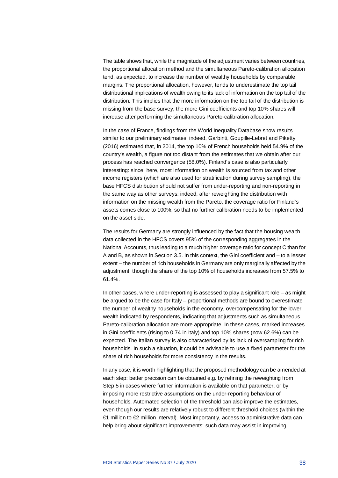The table shows that, while the magnitude of the adjustment varies between countries, the proportional allocation method and the simultaneous Pareto-calibration allocation tend, as expected, to increase the number of wealthy households by comparable margins. The proportional allocation, however, tends to underestimate the top tail distributional implications of wealth owing to its lack of information on the top tail of the distribution. This implies that the more information on the top tail of the distribution is missing from the base survey, the more Gini coefficients and top 10% shares will increase after performing the simultaneous Pareto-calibration allocation.

In the case of France, findings from the World Inequality Database show results similar to our preliminary estimates: indeed, Garbinti, Goupille-Lebret and Piketty (2016) estimated that, in 2014, the top 10% of French households held 54.9% of the country's wealth, a figure not too distant from the estimates that we obtain after our process has reached convergence (58.0%). Finland's case is also particularly interesting: since, here, most information on wealth is sourced from tax and other income registers (which are also used for stratification during survey sampling), the base HFCS distribution should not suffer from under-reporting and non-reporting in the same way as other surveys: indeed, after reweighting the distribution with information on the missing wealth from the Pareto, the coverage ratio for Finland's assets comes close to 100%, so that no further calibration needs to be implemented on the asset side.

The results for Germany are strongly influenced by the fact that the housing wealth data collected in the HFCS covers 95% of the corresponding aggregates in the National Accounts, thus leading to a much higher coverage ratio for concept C than for A and B, as shown in Section 3.5. In this context, the Gini coefficient and – to a lesser extent – the number of rich households in Germany are only marginally affected by the adjustment, though the share of the top 10% of households increases from 57.5% to 61.4%.

In other cases, where under-reporting is assessed to play a significant role  $-$  as might be argued to be the case for Italy – proportional methods are bound to overestimate the number of wealthy households in the economy, overcompensating for the lower wealth indicated by respondents, indicating that adjustments such as simultaneous Pareto-calibration allocation are more appropriate. In these cases, marked increases in Gini coefficients (rising to 0.74 in Italy) and top 10% shares (now 62.6%) can be expected. The Italian survey is also characterised by its lack of oversampling for rich households. In such a situation, it could be advisable to use a fixed parameter for the share of rich households for more consistency in the results.

In any case, it is worth highlighting that the proposed methodology can be amended at each step: better precision can be obtained e.g. by refining the reweighting from Step 5 in cases where further information is available on that parameter, or by imposing more restrictive assumptions on the under-reporting behaviour of households. Automated selection of the threshold can also improve the estimates, even though our results are relatively robust to different threshold choices (within the €1 million to €2 million interval). Most importantly, access to administrative data can help bring about significant improvements: such data may assist in improving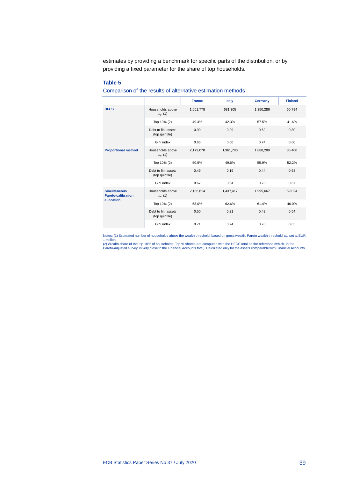estimates by providing a benchmark for specific parts of the distribution, or by providing a fixed parameter for the share of top households.

#### **Table 5**

#### Comparison of the results of alternative estimation methods

|                                                  |                                       | <b>France</b> | Italy     | Germany   | <b>Finland</b> |
|--------------------------------------------------|---------------------------------------|---------------|-----------|-----------|----------------|
| <b>HFCS</b>                                      | Households above<br>$W_0(1)$          | 1,001,778     | 681,305   | 1,350,286 | 60,794         |
|                                                  | Top 10% (2)                           | 49.4%         | 42.3%     | 57.5%     | 41.6%          |
|                                                  | Debt to fin. assets<br>(top quintile) | 0.99          | 0.29      | 0.62      | 0.80           |
|                                                  | Gini index                            | 0.66          | 0.60      | 0.74      | 0.60           |
| <b>Proportional method</b>                       | Households above<br>$W_0(1)$          | 2,179,070     | 1,961,780 | 1,888,289 | 86,400         |
|                                                  | Top 10% (2)                           | 50.9%         | 49.6%     | 55.9%     | 52.2%          |
|                                                  | Debt to fin. assets<br>(top quintile) | 0.49          | 0.19      | 0.44      | 0.58           |
|                                                  | Gini index                            | 0.67          | 0.64      | 0.73      | 0.67           |
| <b>Simultaneous</b><br><b>Pareto-calibration</b> | Households above<br>$W_0(1)$          | 2,186,614     | 1,437,417 | 1,995,667 | 59,024         |
| allocation                                       | Top 10% (2)                           | 58.0%         | 62.6%     | 61.4%     | 46.0%          |
|                                                  | Debt to fin. assets<br>(top quintile) | 0.50          | 0.21      | 0.42      | 0.54           |
|                                                  | Gini index                            | 0.71          | 0.74      | 0.78      | 0.63           |

Notes: (1) Estimated number of households above the wealth threshold, based on gross wealth. Pareto wealth threshold  $w_0$  set at EUR

1 million.<br>(2) Wealth share of the top 10% of households. Top % shares are computed with the HFCS total as the reference (which, in the<br>Pareto-adjusted survey, is very close to the Financial Accounts total). Calculated onl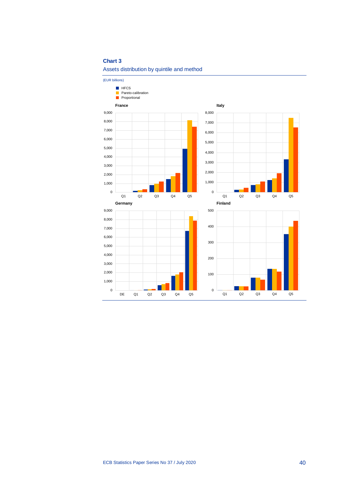#### **Chart 3**

#### Assets distribution by quintile and method

(EUR billions)  $\overline{0}$ 1,000 2,000 3,000 4,000 5,000 6,000 7,000 8,000 9,000 Q1 Q2 Q3 Q4 Q5 **France**  $\overline{0}$ 1,000 2,000 3,000 4,000 5,000 6,000 7,000 8,000 Q1 Q2 Q3 Q4 Q5 **Italy**  $\mathbf{0}$ 1,000 2,000 3,000 4,000 5,000 6,000 7,000 8,000 9,000 DE Q1 Q2 Q3 Q4 Q5 **Germany** 0 100 200 300 400 500 Q1 Q2 Q3 Q4 Q5 **Finland HFCS** Pareto-calibration **Proportional**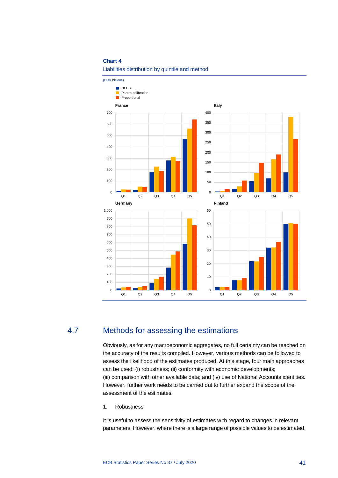#### **Chart 4**



(EUR billions) **HFCS** Pareto-calibration  $\blacksquare$ Proportional**France Italy** 700 400 350  $600$ 300 500 250 400 200 300 150 200 100  $100$ 50 0 0 Q1 Q2 Q3 Q4 Q5 Q1 Q2 Q3 Q4 Q5 **Germany Finland** 1,000 60 900 50 800 700 40 600 500 30 400 20 300 200 10 100 0 0 Q1 Q2 Q3 Q4 Q5 Q1 Q2 Q3 Q4 Q5

## 4.7 Methods for assessing the estimations

<span id="page-41-0"></span>Obviously, as for any macroeconomic aggregates, no full certainty can be reached on the accuracy of the results compiled. However, various methods can be followed to assess the likelihood of the estimates produced. At this stage, four main approaches can be used: (i) robustness; (ii) conformity with economic developments; (iii) comparison with other available data; and (iv) use of National Accounts identities. However, further work needs to be carried out to further expand the scope of the assessment of the estimates.

1. Robustness

It is useful to assess the sensitivity of estimates with regard to changes in relevant parameters. However, where there is a large range of possible values to be estimated,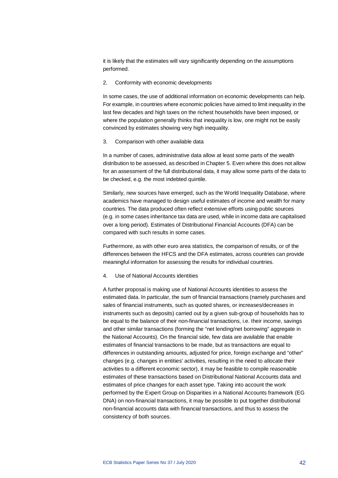it is likely that the estimates will vary significantly depending on the assumptions performed.

2. Conformity with economic developments

In some cases, the use of additional information on economic developments can help. For example, in countries where economic policies have aimed to limit inequality in the last few decades and high taxes on the richest households have been imposed, or where the population generally thinks that inequality is low, one might not be easily convinced by estimates showing very high inequality.

3. Comparison with other available data

In a number of cases, administrative data allow at least some parts of the wealth distribution to be assessed, as described in Chapter 5. Even where this does not allow for an assessment of the full distributional data, it may allow some parts of the data to be checked, e.g. the most indebted quintile.

Similarly, new sources have emerged, such as the World Inequality Database, where academics have managed to design useful estimates of income and wealth for many countries. The data produced often reflect extensive efforts using public sources (e.g. in some cases inheritance tax data are used, while in income data are capitalised over a long period). Estimates of Distributional Financial Accounts (DFA) can be compared with such results in some cases.

Furthermore, as with other euro area statistics, the comparison of results, or of the differences between the HFCS and the DFA estimates, across countries can provide meaningful information for assessing the results for individual countries.

4. Use of National Accounts identities

A further proposal is making use of National Accounts identities to assess the estimated data. In particular, the sum of financial transactions (namely purchases and sales of financial instruments, such as quoted shares, or increases/decreases in instruments such as deposits) carried out by a given sub-group of households has to be equal to the balance of their non-financial transactions, i.e. their income, savings and other similar transactions (forming the "net lending/net borrowing" aggregate in the National Accounts). On the financial side, few data are available that enable estimates of financial transactions to be made, but as transactions are equal to differences in outstanding amounts, adjusted for price, foreign exchange and "other" changes (e.g. changes in entities' activities, resulting in the need to allocate their activities to a different economic sector), it may be feasible to compile reasonable estimates of these transactions based on Distributional National Accounts data and estimates of price changes for each asset type. Taking into account the work performed by the Expert Group on Disparities in a National Accounts framework (EG DNA) on non-financial transactions, it may be possible to put together distributional non-financial accounts data with financial transactions, and thus to assess the consistency of both sources.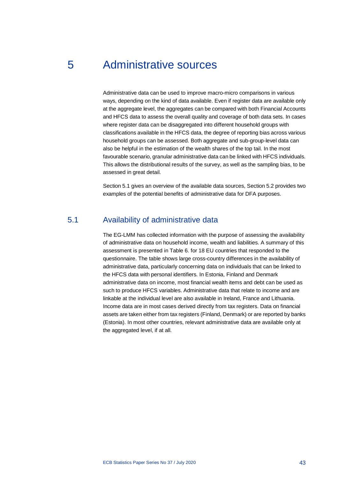## <span id="page-43-0"></span>5 Administrative sources

Administrative data can be used to improve macro-micro comparisons in various ways, depending on the kind of data available. Even if register data are available only at the aggregate level, the aggregates can be compared with both Financial Accounts and HFCS data to assess the overall quality and coverage of both data sets. In cases where register data can be disaggregated into different household groups with classifications available in the HFCS data, the degree of reporting bias across various household groups can be assessed. Both aggregate and sub-group-level data can also be helpful in the estimation of the wealth shares of the top tail. In the most favourable scenario, granular administrative data can be linked with HFCS individuals. This allows the distributional results of the survey, as well as the sampling bias, to be assessed in great detail.

<span id="page-43-1"></span>Section 5.1 gives an overview of the available data sources, Section 5.2 provides two examples of the potential benefits of administrative data for DFA purposes.

## 5.1 Availability of administrative data

The EG-LMM has collected information with the purpose of assessing the availability of administrative data on household income, wealth and liabilities. A summary of this assessment is presented in Table 6. for 18 EU countries that responded to the questionnaire. The table shows large cross-country differences in the availability of administrative data, particularly concerning data on individuals that can be linked to the HFCS data with personal identifiers. In Estonia, Finland and Denmark administrative data on income, most financial wealth items and debt can be used as such to produce HFCS variables. Administrative data that relate to income and are linkable at the individual level are also available in Ireland, France and Lithuania. Income data are in most cases derived directly from tax registers. Data on financial assets are taken either from tax registers (Finland, Denmark) or are reported by banks (Estonia). In most other countries, relevant administrative data are available only at the aggregated level, if at all.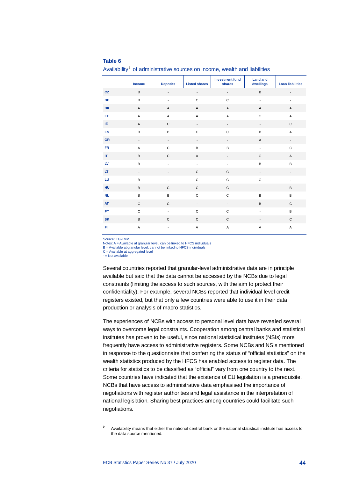#### **Table 6**

**Income Deposits Listed shares Investment fund shares Land and dwellings Loan liabilities CZ** | B - - - - - - - B -**DE | B - C C - - -DK** A A A A A A **EE** A A A A C A **IE** A C - - - C **ES** B B C C B A **GR** | - - - - - - - - - - A -**FR** A C B B - C **IT** B C A - C A **LV** B - - - B B **LT** - - C C - - **LU** B - C C C - **HU** B C C C - B **NL** B B C C B B **AT** C C - - B C **PT** C - C C - B **SK** B C C C - C **FI** A - A A A A

Availability<sup>[9](#page-44-0)</sup> of administrative sources on income, wealth and liabilities

Source: EG-LMM.

Notes: A = Available at granular level, can be linked to HFCS individuals B = Available at granular level, cannot be linked to HFCS individuals C = Available at aggregated level

- = Not available

<span id="page-44-0"></span>1

Several countries reported that granular-level administrative data are in principle available but said that the data cannot be accessed by the NCBs due to legal constraints (limiting the access to such sources, with the aim to protect their confidentiality). For example, several NCBs reported that individual level credit registers existed, but that only a few countries were able to use it in their data production or analysis of macro statistics.

The experiences of NCBs with access to personal level data have revealed several ways to overcome legal constraints. Cooperation among central banks and statistical institutes has proven to be useful, since national statistical institutes (NSIs) more frequently have access to administrative registers. Some NCBs and NSIs mentioned in response to the questionnaire that conferring the status of "official statistics" on the wealth statistics produced by the HFCS has enabled access to register data. The criteria for statistics to be classified as "official" vary from one country to the next. Some countries have indicated that the existence of EU legislation is a prerequisite. NCBs that have access to administrative data emphasised the importance of negotiations with register authorities and legal assistance in the interpretation of national legislation. Sharing best practices among countries could facilitate such negotiations.

Availability means that either the national central bank or the national statistical institute has access to the data source mentioned.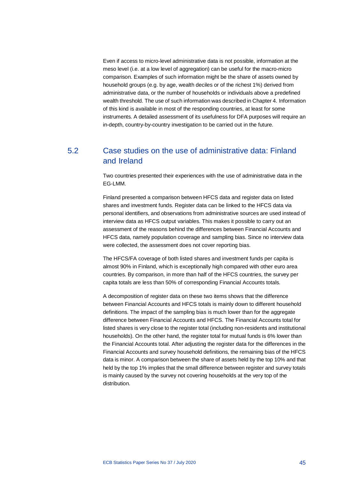Even if access to micro-level administrative data is not possible, information at the meso level (i.e. at a low level of aggregation) can be useful for the macro-micro comparison. Examples of such information might be the share of assets owned by household groups (e.g. by age, wealth deciles or of the richest 1%) derived from administrative data, or the number of households or individuals above a predefined wealth threshold. The use of such information was described in Chapter 4. Information of this kind is available in most of the responding countries, at least for some instruments. A detailed assessment of its usefulness for DFA purposes will require an in-depth, country-by-country investigation to be carried out in the future.

## <span id="page-45-0"></span>5.2 Case studies on the use of administrative data: Finland and Ireland

Two countries presented their experiences with the use of administrative data in the EG-LMM.

Finland presented a comparison between HFCS data and register data on listed shares and investment funds. Register data can be linked to the HFCS data via personal identifiers, and observations from administrative sources are used instead of interview data as HFCS output variables. This makes it possible to carry out an assessment of the reasons behind the differences between Financial Accounts and HFCS data, namely population coverage and sampling bias. Since no interview data were collected, the assessment does not cover reporting bias.

The HFCS/FA coverage of both listed shares and investment funds per capita is almost 90% in Finland, which is exceptionally high compared with other euro area countries. By comparison, in more than half of the HFCS countries, the survey per capita totals are less than 50% of corresponding Financial Accounts totals.

A decomposition of register data on these two items shows that the difference between Financial Accounts and HFCS totals is mainly down to different household definitions. The impact of the sampling bias is much lower than for the aggregate difference between Financial Accounts and HFCS. The Financial Accounts total for listed shares is very close to the register total (including non-residents and institutional households). On the other hand, the register total for mutual funds is 6% lower than the Financial Accounts total. After adjusting the register data for the differences in the Financial Accounts and survey household definitions, the remaining bias of the HFCS data is minor. A comparison between the share of assets held by the top 10% and that held by the top 1% implies that the small difference between register and survey totals is mainly caused by the survey not covering households at the very top of the distribution.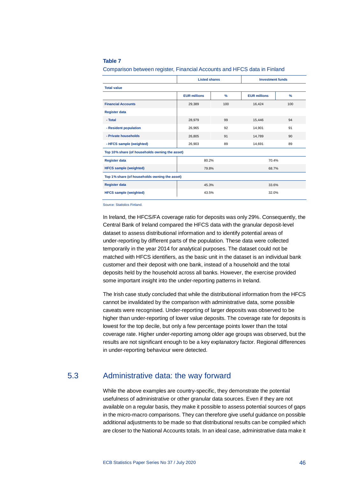#### **Table 7**

Comparison between register, Financial Accounts and HFCS data in Finland

|                                                | <b>Listed shares</b> |               | <b>Investment funds</b> |               |
|------------------------------------------------|----------------------|---------------|-------------------------|---------------|
| <b>Total value</b>                             |                      |               |                         |               |
|                                                | <b>EUR millions</b>  | $\frac{9}{6}$ | <b>EUR millions</b>     | $\frac{9}{6}$ |
| <b>Financial Accounts</b>                      | 29,389               | 100           | 16,424                  | 100           |
| <b>Register data</b>                           |                      |               |                         |               |
| - Total                                        | 28,979               | 99            | 15,446                  | 94            |
| - Resident population                          | 26,965               | 92            | 14,901                  | 91            |
| - Private households                           | 26,805               | 91            | 14.789                  | 90            |
| - HFCS sample (weighted)                       | 26,903               | 89            | 14,691                  | 89            |
| Top 10% share (of households owning the asset) |                      |               |                         |               |
| <b>Register data</b>                           | 80.2%                |               | 70.4%                   |               |
| <b>HFCS</b> sample (weighted)                  | 79.8%                |               | 68.7%                   |               |
| Top 1% share (of households owning the asset)  |                      |               |                         |               |
| <b>Register data</b>                           | 45.3%                |               | 33.6%                   |               |
| <b>HFCS</b> sample (weighted)                  | 43.5%                |               | 32.0%                   |               |

Source: Statistics Finland.

In Ireland, the HFCS/FA coverage ratio for deposits was only 29%. Consequently, the Central Bank of Ireland compared the HFCS data with the granular deposit-level dataset to assess distributional information and to identify potential areas of under-reporting by different parts of the population. These data were collected temporarily in the year 2014 for analytical purposes. The dataset could not be matched with HFCS identifiers, as the basic unit in the dataset is an individual bank customer and their deposit with one bank, instead of a household and the total deposits held by the household across all banks. However, the exercise provided some important insight into the under-reporting patterns in Ireland.

The Irish case study concluded that while the distributional information from the HFCS cannot be invalidated by the comparison with administrative data, some possible caveats were recognised. Under-reporting of larger deposits was observed to be higher than under-reporting of lower value deposits. The coverage rate for deposits is lowest for the top decile, but only a few percentage points lower than the total coverage rate. Higher under-reporting among older age groups was observed, but the results are not significant enough to be a key explanatory factor. Regional differences in under-reporting behaviour were detected.

## 5.3 Administrative data: the way forward

<span id="page-46-0"></span>While the above examples are country-specific, they demonstrate the potential usefulness of administrative or other granular data sources. Even if they are not available on a regular basis, they make it possible to assess potential sources of gaps in the micro-macro comparisons. They can therefore give useful guidance on possible additional adjustments to be made so that distributional results can be compiled which are closer to the National Accounts totals. In an ideal case, administrative data make it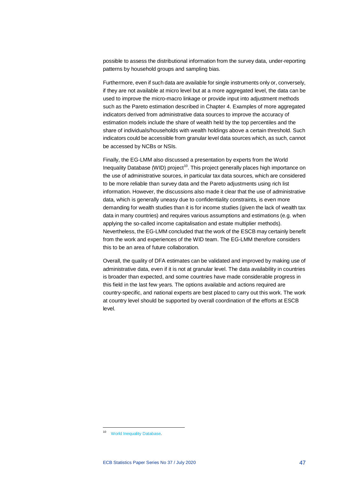possible to assess the distributional information from the survey data, under-reporting patterns by household groups and sampling bias.

Furthermore, even if such data are available for single instruments only or, conversely, if they are not available at micro level but at a more aggregated level, the data can be used to improve the micro-macro linkage or provide input into adjustment methods such as the Pareto estimation described in Chapter 4. Examples of more aggregated indicators derived from administrative data sources to improve the accuracy of estimation models include the share of wealth held by the top percentiles and the share of individuals/households with wealth holdings above a certain threshold. Such indicators could be accessible from granular level data sources which, as such, cannot be accessed by NCBs or NSIs.

Finally, the EG-LMM also discussed a presentation by experts from the World Inequality Database (WID) project<sup>10</sup>. This project generally places high importance on the use of administrative sources, in particular tax data sources, which are considered to be more reliable than survey data and the Pareto adjustments using rich list information. However, the discussions also made it clear that the use of administrative data, which is generally uneasy due to confidentiality constraints, is even more demanding for wealth studies than it is for income studies (given the lack of wealth tax data in many countries) and requires various assumptions and estimations (e.g. when applying the so-called income capitalisation and estate multiplier methods). Nevertheless, the EG-LMM concluded that the work of the ESCB may certainly benefit from the work and experiences of the WID team. The EG-LMM therefore considers this to be an area of future collaboration.

Overall, the quality of DFA estimates can be validated and improved by making use of administrative data, even if it is not at granular level. The data availability in countries is broader than expected, and some countries have made considerable progress in this field in the last few years. The options available and actions required are country-specific, and national experts are best placed to carry out this work. The work at country level should be supported by overall coordination of the efforts at ESCB level.

 $\overline{a}$ 

<span id="page-47-0"></span><sup>10</sup> [World Inequality Database.](https://wid.world/)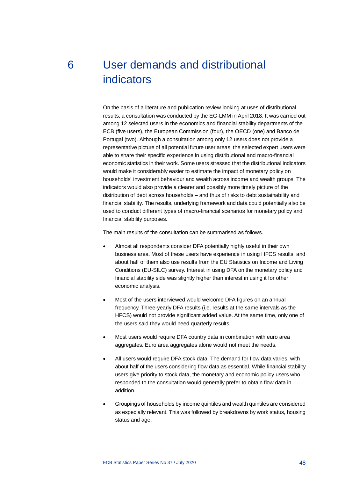# <span id="page-48-0"></span>6 User demands and distributional indicators

On the basis of a literature and publication review looking at uses of distributional results, a consultation was conducted by the EG-LMM in April 2018. It was carried out among 12 selected users in the economics and financial stability departments of the ECB (five users), the European Commission (four), the OECD (one) and Banco de Portugal (two). Although a consultation among only 12 users does not provide a representative picture of all potential future user areas, the selected expert users were able to share their specific experience in using distributional and macro-financial economic statistics in their work. Some users stressed that the distributional indicators would make it considerably easier to estimate the impact of monetary policy on households' investment behaviour and wealth across income and wealth groups. The indicators would also provide a clearer and possibly more timely picture of the distribution of debt across households – and thus of risks to debt sustainability and financial stability. The results, underlying framework and data could potentially also be used to conduct different types of macro-financial scenarios for monetary policy and financial stability purposes.

The main results of the consultation can be summarised as follows.

- Almost all respondents consider DFA potentially highly useful in their own business area. Most of these users have experience in using HFCS results, and about half of them also use results from the EU Statistics on Income and Living Conditions (EU-SILC) survey. Interest in using DFA on the monetary policy and financial stability side was slightly higher than interest in using it for other economic analysis.
- Most of the users interviewed would welcome DFA figures on an annual frequency. Three-yearly DFA results (i.e. results at the same intervals as the HFCS) would not provide significant added value. At the same time, only one of the users said they would need quarterly results.
- Most users would require DFA country data in combination with euro area aggregates. Euro area aggregates alone would not meet the needs.
- All users would require DFA stock data. The demand for flow data varies, with about half of the users considering flow data as essential. While financial stability users give priority to stock data, the monetary and economic policy users who responded to the consultation would generally prefer to obtain flow data in addition.
- Groupings of households by income quintiles and wealth quintiles are considered as especially relevant. This was followed by breakdowns by work status, housing status and age.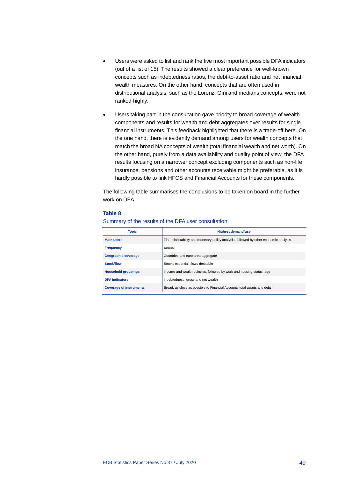- Users were asked to list and rank the five most important possible DFA indicators (out of a list of 15). The results showed a clear preference for well-known concepts such as indebtedness ratios, the debt-to-asset ratio and net financial wealth measures. On the other hand, concepts that are often used in distributional analysis, such as the Lorenz, Gini and medians concepts, were not ranked highly.
- Users taking part in the consultation gave priority to broad coverage of wealth components and results for wealth and debt aggregates over results for single financial instruments. This feedback highlighted that there is a trade-off here. On the one hand, there is evidently demand among users for wealth concepts that match the broad NA concepts of wealth (total financial wealth and net worth). On the other hand, purely from a data availability and quality point of view, the DFA results focusing on a narrower concept excluding components such as non-life insurance, pensions and other accounts receivable might be preferable, as it is hardly possible to link HFCS and Financial Accounts for these components.

The following table summarises the conclusions to be taken on board in the further work on DFA.

#### **Table 8**

#### Summary of the results of the DFA user consultation

| <b>Topic</b>                   | <b>Highest demand/use</b>                                                             |
|--------------------------------|---------------------------------------------------------------------------------------|
| <b>Main users</b>              | Financial stability and monetary policy analysis, followed by other economic analysis |
| <b>Frequency</b>               | Annual                                                                                |
| Geographic coverage            | Countries and euro area aggregate                                                     |
| Stock/flow                     | Stocks essential, flows desirable                                                     |
| <b>Household groupings</b>     | Income and wealth quintiles, followed by work and housing status, age                 |
| <b>DFA</b> indicators          | Indebtedness, gross and net wealth                                                    |
| <b>Coverage of instruments</b> | Broad, as close as possible to Financial Accounts total assets and debt               |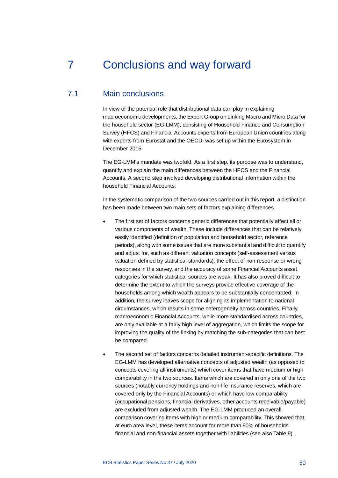## <span id="page-50-0"></span>7 Conclusions and way forward

## 7.1 Main conclusions

<span id="page-50-1"></span>In view of the potential role that distributional data can play in explaining macroeconomic developments, the Expert Group on Linking Macro and Micro Data for the household sector (EG-LMM), consisting of Household Finance and Consumption Survey (HFCS) and Financial Accounts experts from European Union countries along with experts from Eurostat and the OECD, was set up within the Eurosystem in December 2015.

The EG-LMM's mandate was twofold. As a first step, its purpose was to understand, quantify and explain the main differences between the HFCS and the Financial Accounts. A second step involved developing distributional information within the household Financial Accounts.

In the systematic comparison of the two sources carried out in this report, a distinction has been made between two main sets of factors explaining differences.

- The first set of factors concerns generic differences that potentially affect all or various components of wealth. These include differences that can be relatively easily identified (definition of population and household sector, reference periods), along with some issues that are more substantial and difficult to quantify and adjust for, such as different valuation concepts (self-assessment versus valuation defined by statistical standards), the effect of non-response or wrong responses in the survey, and the accuracy of some Financial Accounts asset categories for which statistical sources are weak. It has also proved difficult to determine the extent to which the surveys provide effective coverage of the households among which wealth appears to be substantially concentrated. In addition, the survey leaves scope for aligning its implementation to national circumstances, which results in some heterogeneity across countries. Finally, macroeconomic Financial Accounts, while more standardised across countries, are only available at a fairly high level of aggregation, which limits the scope for improving the quality of the linking by matching the sub-categories that can best be compared.
- The second set of factors concerns detailed instrument-specific definitions. The EG-LMM has developed alternative concepts of adjusted wealth (as opposed to concepts covering all instruments) which cover items that have medium or high comparability in the two sources. Items which are covered in only one of the two sources (notably currency holdings and non-life insurance reserves, which are covered only by the Financial Accounts) or which have low comparability (occupational pensions, financial derivatives, other accounts receivable/payable) are excluded from adjusted wealth. The EG-LMM produced an overall comparison covering items with high or medium comparability. This showed that, at euro area level, these items account for more than 90% of households' financial and non-financial assets together with liabilities (see also Table 9).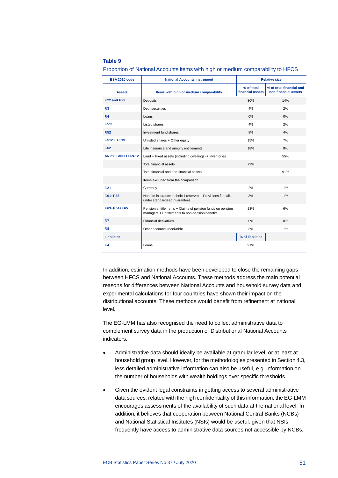#### **Table 9**

**ESA 2010 code National Accounts instrument Relative size Assets Items with high or medium comparability % of total financial assets % of total financial and non-financial assets F.22 and F.29** Deposits 30% 14% **F.3** Debt securities 4% 2% **F.4** Loans 0% 0% **F.511** Listed shares 4% 2% **F.52** Investment fund shares **8%** 8% 4% **F.512 + F.519** Unlisted shares + Other equity 15% 15% 15% **F.62** Life insurance and annuity entitlements 18% 18% 8% **AN.211+AN.11+AN.12** Land + Fixed assets (including dwellings) + Inventories 55% Total financial assets 79% Total financial and non-financial assets 91% Items excluded from the comparison **F.21** Currency 2% 1% **F.61+F.66** Non-life insurance technical reserves + Provisions for calls under standardised guarantees 3% 1% **F.63+F.64+F.65** Pension entitlements + Claims of pension funds on pension managers + Entitlements to non-pension benefits 13% 6% **F.7** Financial derivatives 0% 0% **F.8** Other accounts receivable 3% 3% 1% **Liabilities % of liabilities F.4** Loans 91%

Proportion of National Accounts items with high or medium comparability to HFCS

In addition, estimation methods have been developed to close the remaining gaps between HFCS and National Accounts. These methods address the main potential reasons for differences between National Accounts and household survey data and experimental calculations for four countries have shown their impact on the distributional accounts. These methods would benefit from refinement at national level.

The EG-LMM has also recognised the need to collect administrative data to complement survey data in the production of Distributional National Accounts indicators.

- Administrative data should ideally be available at granular level, or at least at household group level. However, for the methodologies presented in Section 4.3, less detailed administrative information can also be useful, e.g. information on the number of households with wealth holdings over specific thresholds.
- Given the evident legal constraints in getting access to several administrative data sources, related with the high confidentiality of this information, the EG-LMM encourages assessments of the availability of such data at the national level. In addition, it believes that cooperation between National Central Banks (NCBs) and National Statistical Institutes (NSIs) would be useful, given that NSIs frequently have access to administrative data sources not accessible by NCBs.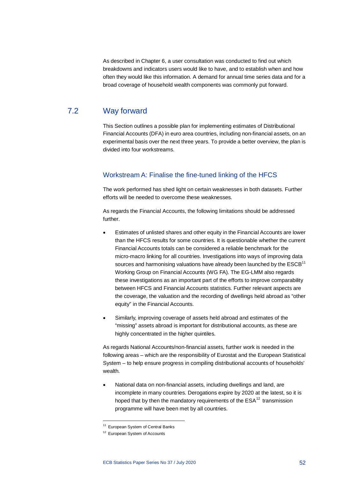As described in Chapter 6, a user consultation was conducted to find out which breakdowns and indicators users would like to have, and to establish when and how often they would like this information. A demand for annual time series data and for a broad coverage of household wealth components was commonly put forward.

## 7.2 Way forward

<span id="page-52-0"></span>This Section outlines a possible plan for implementing estimates of Distributional Financial Accounts (DFA) in euro area countries, including non-financial assets, on an experimental basis over the next three years. To provide a better overview, the plan is divided into four workstreams.

### Workstream A: Finalise the fine-tuned linking of the HFCS

The work performed has shed light on certain weaknesses in both datasets. Further efforts will be needed to overcome these weaknesses.

As regards the Financial Accounts, the following limitations should be addressed further.

- Estimates of unlisted shares and other equity in the Financial Accounts are lower than the HFCS results for some countries. It is questionable whether the current Financial Accounts totals can be considered a reliable benchmark for the micro-macro linking for all countries. Investigations into ways of improving data sources and harmonising valuations have already been launched by the  $\mathsf{ESCB}^{\mathsf{11}}$  $\mathsf{ESCB}^{\mathsf{11}}$  $\mathsf{ESCB}^{\mathsf{11}}$ Working Group on Financial Accounts (WG FA). The EG-LMM also regards these investigations as an important part of the efforts to improve comparability between HFCS and Financial Accounts statistics. Further relevant aspects are the coverage, the valuation and the recording of dwellings held abroad as "other equity" in the Financial Accounts.
- Similarly, improving coverage of assets held abroad and estimates of the "missing" assets abroad is important for distributional accounts, as these are highly concentrated in the higher quintiles.

As regards National Accounts/non-financial assets, further work is needed in the following areas – which are the responsibility of Eurostat and the European Statistical System – to help ensure progress in compiling distributional accounts of households' wealth.

• National data on non-financial assets, including dwellings and land, are incomplete in many countries. Derogations expire by 2020 at the latest, so it is hoped that by then the mandatory requirements of the  $ESA^{12}$  $ESA^{12}$  $ESA^{12}$  transmission programme will have been met by all countries.

 $\overline{a}$ 

<sup>&</sup>lt;sup>11</sup> European System of Central Banks

<span id="page-52-2"></span><span id="page-52-1"></span><sup>&</sup>lt;sup>12</sup> European System of Accounts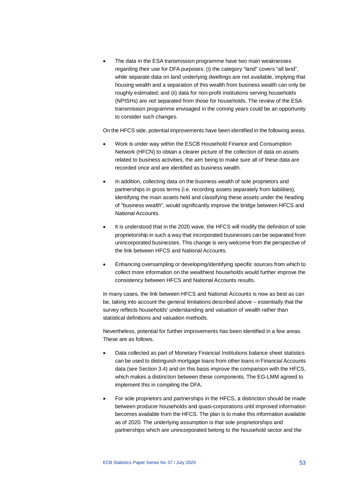• The data in the ESA transmission programme have two main weaknesses regarding their use for DFA purposes: (i) the category "land" covers "all land", while separate data on land underlying dwellings are not available, implying that housing wealth and a separation of this wealth from business wealth can only be roughly estimated; and (ii) data for non-profit institutions serving households (NPISHs) are not separated from those for households. The review of the ESA transmission programme envisaged in the coming years could be an opportunity to consider such changes.

On the HFCS side, potential improvements have been identified in the following areas.

- Work is under way within the ESCB Household Finance and Consumption Network (HFCN) to obtain a clearer picture of the collection of data on assets related to business activities, the aim being to make sure all of these data are recorded once and are identified as business wealth.
- In addition, collecting data on the business wealth of sole proprietors and partnerships in gross terms (i.e. recording assets separately from liabilities), identifying the main assets held and classifying these assets under the heading of "business wealth", would significantly improve the bridge between HFCS and National Accounts.
- It is understood that in the 2020 wave, the HFCS will modify the definition of sole proprietorship in such a way that incorporated businesses can be separated from unincorporated businesses. This change is very welcome from the perspective of the link between HFCS and National Accounts.
- Enhancing oversampling or developing/identifying specific sources from which to collect more information on the wealthiest households would further improve the consistency between HFCS and National Accounts results.

In many cases, the link between HFCS and National Accounts is now as best as can be, taking into account the general limitations described above – essentially that the survey reflects households' understanding and valuation of wealth rather than statistical definitions and valuation methods.

Nevertheless, potential for further improvements has been identified in a few areas. These are as follows.

- Data collected as part of Monetary Financial Institutions balance sheet statistics can be used to distinguish mortgage loans from other loans in Financial Accounts data (see Section 3.4) and on this basis improve the comparison with the HFCS, which makes a distinction between these components. The EG-LMM agreed to implement this in compiling the DFA.
- For sole proprietors and partnerships in the HFCS, a distinction should be made between producer households and quasi-corporations until improved information becomes available from the HFCS. The plan is to make this information available as of 2020. The underlying assumption is that sole proprietorships and partnerships which are unincorporated belong to the household sector and the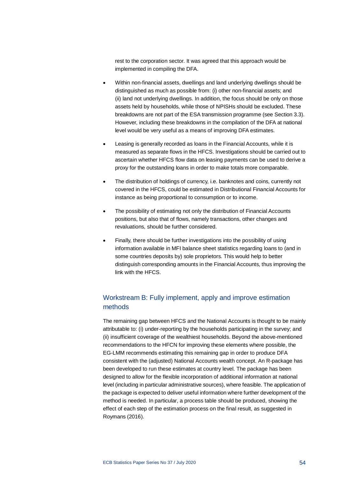rest to the corporation sector. It was agreed that this approach would be implemented in compiling the DFA.

- Within non-financial assets, dwellings and land underlying dwellings should be distinguished as much as possible from: (i) other non-financial assets; and (ii) land not underlying dwellings. In addition, the focus should be only on those assets held by households, while those of NPISHs should be excluded. These breakdowns are not part of the ESA transmission programme (see Section 3.3). However, including these breakdowns in the compilation of the DFA at national level would be very useful as a means of improving DFA estimates.
- Leasing is generally recorded as loans in the Financial Accounts, while it is measured as separate flows in the HFCS. Investigations should be carried out to ascertain whether HFCS flow data on leasing payments can be used to derive a proxy for the outstanding loans in order to make totals more comparable.
- The distribution of holdings of currency, i.e. banknotes and coins, currently not covered in the HFCS, could be estimated in Distributional Financial Accounts for instance as being proportional to consumption or to income.
- The possibility of estimating not only the distribution of Financial Accounts positions, but also that of flows, namely transactions, other changes and revaluations, should be further considered.
- Finally, there should be further investigations into the possibility of using information available in MFI balance sheet statistics regarding loans to (and in some countries deposits by) sole proprietors. This would help to better distinguish corresponding amounts in the Financial Accounts, thus improving the link with the HFCS.

## Workstream B: Fully implement, apply and improve estimation methods

The remaining gap between HFCS and the National Accounts is thought to be mainly attributable to: (i) under-reporting by the households participating in the survey; and (ii) insufficient coverage of the wealthiest households. Beyond the above-mentioned recommendations to the HFCN for improving these elements where possible, the EG-LMM recommends estimating this remaining gap in order to produce DFA consistent with the (adjusted) National Accounts wealth concept. An R-package has been developed to run these estimates at country level. The package has been designed to allow for the flexible incorporation of additional information at national level (including in particular administrative sources), where feasible. The application of the package is expected to deliver useful information where further development of the method is needed. In particular, a process table should be produced, showing the effect of each step of the estimation process on the final result, as suggested in Roymans (2016).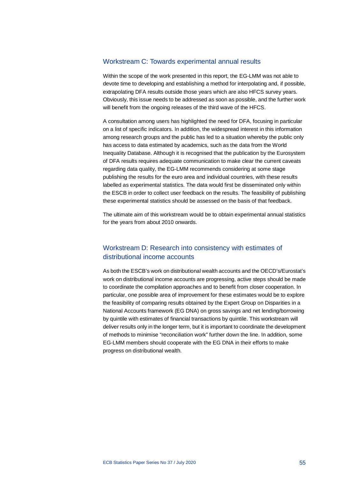### Workstream C: Towards experimental annual results

Within the scope of the work presented in this report, the EG-LMM was not able to devote time to developing and establishing a method for interpolating and, if possible, extrapolating DFA results outside those years which are also HFCS survey years. Obviously, this issue needs to be addressed as soon as possible, and the further work will benefit from the ongoing releases of the third wave of the HFCS.

A consultation among users has highlighted the need for DFA, focusing in particular on a list of specific indicators. In addition, the widespread interest in this information among research groups and the public has led to a situation whereby the public only has access to data estimated by academics, such as the data from the World Inequality Database. Although it is recognised that the publication by the Eurosystem of DFA results requires adequate communication to make clear the current caveats regarding data quality, the EG-LMM recommends considering at some stage publishing the results for the euro area and individual countries, with these results labelled as experimental statistics. The data would first be disseminated only within the ESCB in order to collect user feedback on the results. The feasibility of publishing these experimental statistics should be assessed on the basis of that feedback.

The ultimate aim of this workstream would be to obtain experimental annual statistics for the years from about 2010 onwards.

## Workstream D: Research into consistency with estimates of distributional income accounts

As both the ESCB's work on distributional wealth accounts and the OECD's/Eurostat's work on distributional income accounts are progressing, active steps should be made to coordinate the compilation approaches and to benefit from closer cooperation. In particular, one possible area of improvement for these estimates would be to explore the feasibility of comparing results obtained by the Expert Group on Disparities in a National Accounts framework (EG DNA) on gross savings and net lending/borrowing by quintile with estimates of financial transactions by quintile. This workstream will deliver results only in the longer term, but it is important to coordinate the development of methods to minimise "reconciliation work" further down the line. In addition, some EG-LMM members should cooperate with the EG DNA in their efforts to make progress on distributional wealth.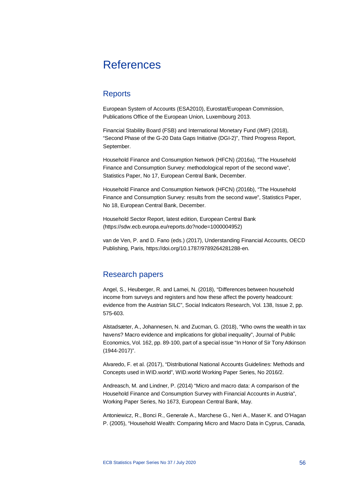## <span id="page-56-0"></span>References

## <span id="page-56-1"></span>**Reports**

European System of Accounts (ESA2010), Eurostat/European Commission, Publications Office of the European Union, Luxembourg 2013.

Financial Stability Board (FSB) and International Monetary Fund (IMF) (2018), "Second Phase of the G-20 Data Gaps Initiative (DGI-2)", Third Progress Report, September.

Household Finance and Consumption Network (HFCN) (2016a), "The Household Finance and Consumption Survey: methodological report of the second wave", Statistics Paper, No 17, European Central Bank, December.

Household Finance and Consumption Network (HFCN) (2016b), "The Household Finance and Consumption Survey: results from the second wave", Statistics Paper, No 18, European Central Bank, December.

Household Sector Report, latest edition, European Central Bank [\(https://sdw.ecb.europa.eu/reports.do?node=1000004952\)](https://sdw.ecb.europa.eu/reports.do?node=1000004952)

van de Ven, P. and D. Fano (eds.) (2017), Understanding Financial Accounts, OECD Publishing, Paris, [https://doi.org/10.1787/9789264281288-en.](https://doi.org/10.1787/9789264281288-en)

## <span id="page-56-2"></span>Research papers

Angel, S., Heuberger, R. and Lamei, N. (2018), "Differences between household income from surveys and registers and how these affect the poverty headcount: evidence from the Austrian SILC", Social Indicators Research, Vol. 138, Issue 2, pp. 575-603.

Alstadsæter, A., Johannesen, N. and Zucman, G. (2018), "Who owns the wealth in tax havens? Macro evidence and implications for global inequality", Journal of Public Economics, Vol. 162, pp. 89-100, part of a special issue "In Honor of Sir Tony Atkinson (1944-2017)".

Alvaredo, F. et al. (2017), "Distributional National Accounts Guidelines: Methods and Concepts used in WID.world", WID.world Working Paper Series, No 2016/2.

Andreasch, M. and Lindner, P. (2014) "Micro and macro data: A comparison of the Household Finance and Consumption Survey with Financial Accounts in Austria", Working Paper Series, No 1673, European Central Bank, May.

Antoniewicz, R., Bonci R., Generale A., Marchese G., Neri A., Maser K. and O'Hagan P. (2005), "Household Wealth: Comparing Micro and Macro Data in Cyprus, Canada,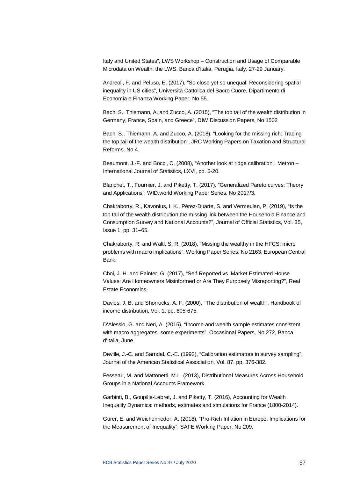Italy and United States", LWS Workshop – Construction and Usage of Comparable Microdata on Wealth: the LWS, Banca d'Italia, Perugia, Italy, 27-29 January.

Andreoli, F. and Peluso, E. (2017), "So close yet so unequal: Reconsidering spatial inequality in US cities", Università Cattolica del Sacro Cuore, Dipartimento di Economia e Finanza Working Paper, No 55.

Bach, S., Thiemann, A. and Zucco, A. (2015), "The top tail of the wealth distribution in Germany, France, Spain, and Greece", DIW Discussion Papers, No 1502

Bach, S., Thiemann, A. and Zucco, A. (2018), "Looking for the missing rich: Tracing the top tail of the wealth distribution", JRC Working Papers on Taxation and Structural Reforms, No 4.

Beaumont, J.-F. and Bocci, C. (2008), "Another look at ridge calibration", Metron – International Journal of Statistics, LXVI, pp. 5-20.

Blanchet, T., Fournier, J. and Piketty, T. (2017), "Generalized Pareto curves: Theory and Applications", WID.world Working Paper Series, No 2017/3.

Chakraborty, R., Kavonius, I. K., Pérez-Duarte, S. and Vermeulen, P. (2019), "Is the top tail of the wealth distribution the missing link between the Household Finance and Consumption Survey and National Accounts?", Journal of Official Statistics, Vol. 35, Issue 1, pp. 31–65.

Chakraborty, R. and Waltl, S. R. (2018), "Missing the wealthy in the HFCS: micro problems with macro implications", Working Paper Series, No 2163, European Central Bank.

Choi, J. H. and Painter, G. (2017), "Self‐Reported vs. Market Estimated House Values: Are Homeowners Misinformed or Are They Purposely Misreporting?", Real Estate Economics.

Davies, J. B. and Shorrocks, A. F. (2000), "The distribution of wealth", Handbook of income distribution, Vol. 1, pp. 605-675.

D'Alessio, G. and Neri, A. (2015), "Income and wealth sample estimates consistent with macro aggregates: some experiments", Occasional Papers, No 272, Banca d'Italia, June.

Deville, J.-C. and Särndal, C.-E. (1992), "Calibration estimators in survey sampling", Journal of the American Statistical Association, Vol. 87, pp. 376-382.

Fesseau, M. and Mattonetti, M.L. (2013), Distributional Measures Across Household Groups in a National Accounts Framework.

Garbinti, B., Goupille-Lebret, J. and Piketty, T. (2016), Accounting for Wealth Inequality Dynamics: methods, estimates and simulations for France (1800-2014).

Gürer, E. and Weichenrieder, A. (2018), "Pro-Rich Inflation in Europe: Implications for the Measurement of Inequality", SAFE Working Paper, No 209.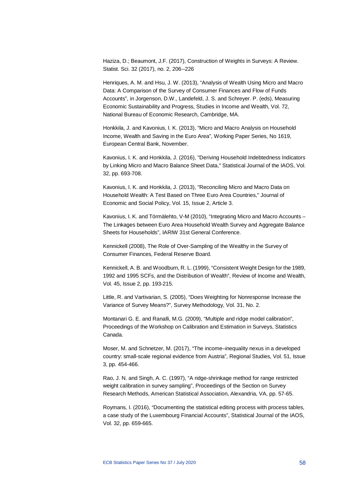Haziza, D.; Beaumont, J.F. (2017), Construction of Weights in Surveys: A Review. Statist. Sci. 32 (2017), no. 2, 206--226

Henriques, A. M. and Hsu, J. W. (2013), "Analysis of Wealth Using Micro and Macro Data: A Comparison of the Survey of Consumer Finances and Flow of Funds Accounts", in Jorgenson, D.W., Landefeld, J. S. and Schreyer. P. (eds), Measuring Economic Sustainability and Progress, Studies in Income and Wealth, Vol. 72, National Bureau of Economic Research, Cambridge, MA.

Honkkila, J. and Kavonius, I. K. (2013), "Micro and Macro Analysis on Household Income, Wealth and Saving in the Euro Area", Working Paper Series, No 1619, European Central Bank, November.

Kavonius, I. K. and Honkkila, J. (2016), "Deriving Household Indebtedness Indicators by Linking Micro and Macro Balance Sheet Data," Statistical Journal of the IAOS, Vol. 32, pp. 693-708.

Kavonius, I. K. and Honkkila, J. (2013), "Reconciling Micro and Macro Data on Household Wealth: A Test Based on Three Euro Area Countries," Journal of Economic and Social Policy, Vol. 15, Issue 2, Article 3.

Kavonius, I. K. and Törmälehto, V-M (2010), "Integrating Micro and Macro Accounts – The Linkages between Euro Area Household Wealth Survey and Aggregate Balance Sheets for Households", IARIW 31st General Conference.

Kennickell (2008), The Role of Over-Sampling of the Wealthy in the Survey of Consumer Finances, Federal Reserve Board.

Kennickell, A. B. and Woodburn, R. L. (1999), "Consistent Weight Design for the 1989, 1992 and 1995 SCFs, and the Distribution of Wealth", Review of Income and Wealth, Vol. 45, Issue 2, pp. 193-215.

Little, R. and Vartivarian, S. (2005), "Does Weighting for Nonresponse Increase the Variance of Survey Means?", Survey Methodology, Vol. 31, No. 2.

Montanari G. E. and Ranalli, M.G. (2009), "Multiple and ridge model calibration", Proceedings of the Workshop on Calibration and Estimation in Surveys, Statistics Canada.

Moser, M. and Schnetzer, M. (2017), "The income–inequality nexus in a developed country: small-scale regional evidence from Austria", Regional Studies, Vol. 51, Issue 3, pp. 454-466.

Rao, J. N. and Singh, A. C. (1997), "A ridge-shrinkage method for range restricted weight calibration in survey sampling", Proceedings of the Section on Survey Research Methods, American Statistical Association, Alexandria, VA, pp. 57-65.

Roymans, I. (2016), "Documenting the statistical editing process with process tables, a case study of the Luxembourg Financial Accounts", Statistical Journal of the IAOS, Vol. 32, pp. 659-665.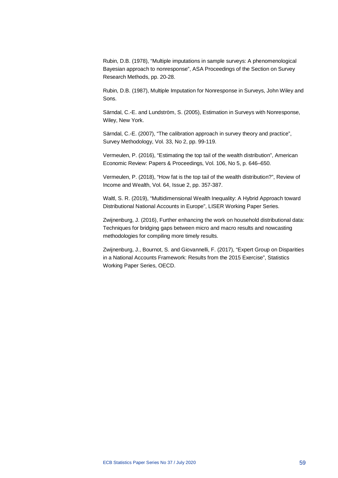Rubin, D.B. (1978), "Multiple imputations in sample surveys: A phenomenological Bayesian approach to nonresponse", ASA Proceedings of the Section on Survey Research Methods, pp. 20-28.

Rubin, D.B. (1987), Multiple Imputation for Nonresponse in Surveys, John Wiley and Sons.

Särndal, C.-E. and Lundström, S. (2005), Estimation in Surveys with Nonresponse, Wiley, New York.

Särndal, C.-E. (2007), "The calibration approach in survey theory and practice", Survey Methodology, Vol. 33, No 2, pp. 99-119.

Vermeulen, P. (2016), "Estimating the top tail of the wealth distribution", American Economic Review: Papers & Proceedings, Vol. 106, No 5, p. 646–650.

Vermeulen, P. (2018), "How fat is the top tail of the wealth distribution?", Review of Income and Wealth, Vol. 64, Issue 2, pp. 357-387.

Waltl, S. R. (2019), "Multidimensional Wealth Inequality: A Hybrid Approach toward Distributional National Accounts in Europe", LISER Working Paper Series.

Zwijnenburg, J. (2016), Further enhancing the work on household distributional data: Techniques for bridging gaps between micro and macro results and nowcasting methodologies for compiling more timely results.

Zwijnenburg, J., Bournot, S. and Giovannelli, F. (2017), "Expert Group on Disparities in a National Accounts Framework: Results from the 2015 Exercise", Statistics Working Paper Series, OECD.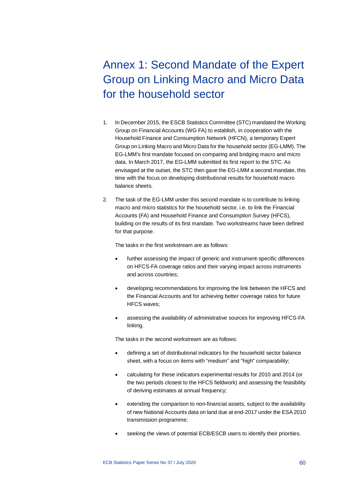# <span id="page-60-0"></span>Annex 1: Second Mandate of the Expert Group on Linking Macro and Micro Data for the household sector

- 1. In December 2015, the ESCB Statistics Committee (STC) mandated the Working Group on Financial Accounts (WG FA) to establish, in cooperation with the Household Finance and Consumption Network (HFCN), a temporary Expert Group on Linking Macro and Micro Data for the household sector (EG-LMM). The EG-LMM's first mandate focused on comparing and bridging macro and micro data. In March 2017, the EG-LMM submitted its first report to the STC. As envisaged at the outset, the STC then gave the EG-LMM a second mandate, this time with the focus on developing distributional results for household macro balance sheets.
- 2. The task of the EG-LMM under this second mandate is to contribute to linking macro and micro statistics for the household sector, i.e. to link the Financial Accounts (FA) and Household Finance and Consumption Survey (HFCS), building on the results of its first mandate. Two workstreams have been defined for that purpose.

The tasks in the first workstream are as follows:

- further assessing the impact of generic and instrument-specific differences on HFCS-FA coverage ratios and their varying impact across instruments and across countries;
- developing recommendations for improving the link between the HFCS and the Financial Accounts and for achieving better coverage ratios for future HFCS waves;
- assessing the availability of administrative sources for improving HFCS-FA linking.

The tasks in the second workstream are as follows:

- defining a set of distributional indicators for the household sector balance sheet, with a focus on items with "medium" and "high" comparability;
- calculating for these indicators experimental results for 2010 and 2014 (or the two periods closest to the HFCS fieldwork) and assessing the feasibility of deriving estimates at annual frequency;
- extending the comparison to non-financial assets, subject to the availability of new National Accounts data on land due at end-2017 under the ESA 2010 transmission programme;
- seeking the views of potential ECB/ESCB users to identify their priorities.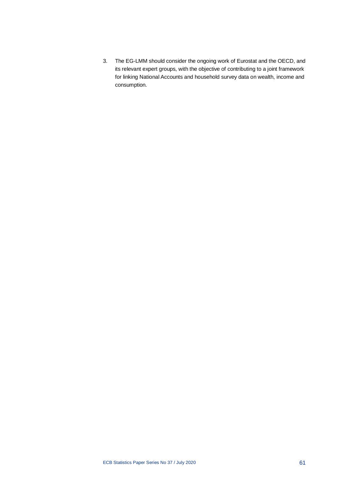3. The EG-LMM should consider the ongoing work of Eurostat and the OECD, and its relevant expert groups, with the objective of contributing to a joint framework for linking National Accounts and household survey data on wealth, income and consumption.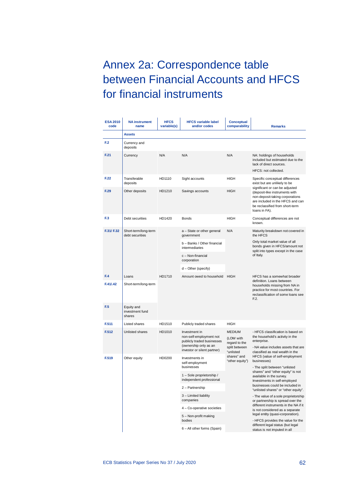# <span id="page-62-0"></span>Annex 2a: Correspondence table between Financial Accounts and HFCS for financial instruments

| <b>ESA 2010</b><br>code | <b>NA instrument</b><br>name            | <b>HFCS</b><br>variable(s) | <b>HFCS variable label</b><br>and/or codes                                                                                     | <b>Conceptual</b><br>comparability                                        | <b>Remarks</b>                                                                                                                                                                              |  |
|-------------------------|-----------------------------------------|----------------------------|--------------------------------------------------------------------------------------------------------------------------------|---------------------------------------------------------------------------|---------------------------------------------------------------------------------------------------------------------------------------------------------------------------------------------|--|
|                         | <b>Assets</b>                           |                            |                                                                                                                                |                                                                           |                                                                                                                                                                                             |  |
| F.2                     | Currency and<br>deposits                |                            |                                                                                                                                |                                                                           |                                                                                                                                                                                             |  |
| F.21                    | Currency                                | N/A                        | N/A                                                                                                                            | N/A                                                                       | NA: holdings of households<br>included but estimated due to the<br>lack of direct sources.<br>HFCS: not collected.                                                                          |  |
| F.22                    | Transferable<br>deposits                | HD1110                     | Sight accounts                                                                                                                 | HIGH                                                                      | Specific conceptual differences<br>exist but are unlikely to be                                                                                                                             |  |
| F.29                    | Other deposits                          | HD1210                     | Savings accounts                                                                                                               | HIGH                                                                      | significant or can be adjusted<br>(deposit-like instruments with<br>non-deposit-taking corporations<br>are included in the HFCS and can<br>be reclassified from short-term<br>loans in FA). |  |
| F.3                     | Debt securities                         | HD1420                     | <b>Bonds</b>                                                                                                                   | HIGH                                                                      | Conceptual differences are not<br>known.                                                                                                                                                    |  |
| F.31/F.32               | Short-term/long-term<br>debt securities |                            | a - State or other general<br>government                                                                                       | N/A                                                                       | Maturity breakdown not covered in<br>the HFCS                                                                                                                                               |  |
|                         |                                         |                            | b - Banks / Other financial<br>intermediaries                                                                                  |                                                                           | Only total market value of all<br>bonds given in HFCS/amount not<br>split into types except in the case                                                                                     |  |
|                         |                                         |                            | c - Non-financial<br>corporation                                                                                               |                                                                           | of Italy.                                                                                                                                                                                   |  |
|                         |                                         |                            | d - Other (specify)                                                                                                            |                                                                           |                                                                                                                                                                                             |  |
| F.4                     | Loans                                   | HD1710                     | Amount owed to household<br><b>HIGH</b>                                                                                        | HFCS has a somewhat broader                                               |                                                                                                                                                                                             |  |
| F.41/.42                | Short-term/long-term                    |                            |                                                                                                                                |                                                                           |                                                                                                                                                                                             |  |
| F.5                     | Equity and<br>investment fund<br>shares |                            |                                                                                                                                |                                                                           |                                                                                                                                                                                             |  |
| F.511                   | Listed shares                           | HD1510                     | Publicly traded shares                                                                                                         | HIGH                                                                      |                                                                                                                                                                                             |  |
| F.512                   | Unlisted shares                         | HD1010                     | Investment in<br>non-self-employment not<br>publicly traded businesses<br>(ownership only as an<br>investor or silent partner) | <b>MEDIUM</b><br>(LOW with<br>regard to the<br>split between<br>"unlisted | - HFCS classification is based on<br>the household's activity in the<br>enterprise.<br>- NA value includes assets that are<br>classified as real wealth in the                              |  |
| F.519                   | Other equity                            | HD0200                     | Investments in<br>self-employment<br>businesses                                                                                | shares" and<br>"other equity")                                            | HFCS (value of self-employment<br>businesses)<br>- The split between "unlisted                                                                                                              |  |
|                         |                                         |                            | 1 - Sole proprietorship /<br>independent professional                                                                          |                                                                           | shares" and "other equity" is not<br>available in the survey.<br>Investments in self-employed                                                                                               |  |
|                         |                                         |                            | 2 - Partnership                                                                                                                |                                                                           | businesses could be included in<br>"unlisted shares" or "other equity".                                                                                                                     |  |
|                         |                                         |                            | 3 - Limited liability<br>companies                                                                                             |                                                                           | - The value of a sole proprietorship<br>or partnership is spread over the                                                                                                                   |  |
|                         |                                         |                            | 4 - Co-operative societies                                                                                                     |                                                                           | different instruments in the NA if it<br>is not considered as a separate                                                                                                                    |  |
|                         |                                         |                            | 5 - Non-profit making<br>bodies                                                                                                |                                                                           | legal entity (quasi-corporation).<br>- HFCS provides the value for the                                                                                                                      |  |
|                         |                                         |                            | 6 - All other forms (Spain)                                                                                                    |                                                                           | different legal status (but legal<br>status is not imputed in all                                                                                                                           |  |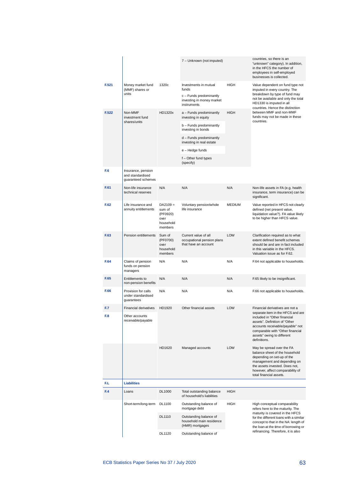|       |                                                              |                                                                  | 7 - Unknown (not imputed)                                                                             |               | countries, so there is an<br>"unknown" category). In addition,<br>in the HFCS the number of<br>employees in self-employed<br>businesses is collected.                                                                     |
|-------|--------------------------------------------------------------|------------------------------------------------------------------|-------------------------------------------------------------------------------------------------------|---------------|---------------------------------------------------------------------------------------------------------------------------------------------------------------------------------------------------------------------------|
| F.521 | Money market fund<br>(MMF) shares or<br>units                | 1320c                                                            | Investments in mutual<br>funds<br>c - Funds predominantly<br>investing in money market<br>instruments | HIGH          | Value dependent on fund type not<br>imputed in every country. The<br>breakdown by type of fund may<br>not be available and only the total<br>HD1330 is imputed in all<br>countries. Hence the distinction                 |
| F.522 | Non-MMF<br>investment fund                                   | HD1320x                                                          | a - Funds predominantly<br>investing in equity                                                        | <b>HIGH</b>   | between MMF and non-MMF<br>funds may not be made in these                                                                                                                                                                 |
|       | shares/units                                                 |                                                                  | b - Funds predominantly<br>investing in bonds                                                         |               | countries.                                                                                                                                                                                                                |
|       |                                                              |                                                                  | d - Funds predominantly<br>investing in real estate                                                   |               |                                                                                                                                                                                                                           |
|       |                                                              |                                                                  | e – Hedge funds                                                                                       |               |                                                                                                                                                                                                                           |
|       |                                                              |                                                                  | f - Other fund types<br>(specify)                                                                     |               |                                                                                                                                                                                                                           |
| F.6   | Insurance, pension<br>and standardised<br>guaranteed schemes |                                                                  |                                                                                                       |               |                                                                                                                                                                                                                           |
| F.61  | Non-life insurance<br>technical reserves                     | N/A                                                              | N/A                                                                                                   | N/A           | Non-life assets in FA (e.g. health<br>insurance, term insurance) can be<br>significant.                                                                                                                                   |
| F.62  | Life insurance and<br>annuity entitlements                   | $DA2109 =$<br>sum of<br>(PF0920)<br>over<br>household<br>members | Voluntary pension/whole<br>life insurance                                                             | <b>MEDIUM</b> | Value reported in HFCS not clearly<br>defined (net present value,<br>liquidation value?). FA value likely<br>to be higher than HFCS value.                                                                                |
| F.63  | Pension entitlements                                         | Sum of<br>(PF0700)<br>over<br>household<br>members               | Current value of all<br>occupational pension plans<br>that have an account                            | LOW           | Clarification required as to what<br>extent defined benefit schemes<br>should be and are in fact included<br>in this variable in the HFCS.<br>Valuation issue as for F.62.                                                |
| F.64  | Claims of pension<br>funds on pension<br>managers            | N/A                                                              | N/A                                                                                                   | N/A           | F.64 not applicable to households.                                                                                                                                                                                        |
| F.65  | Entitlements to<br>non-pension benefits                      | N/A                                                              | N/A                                                                                                   | N/A           | F.65 likely to be insignificant.                                                                                                                                                                                          |
| F.66  | Provision for calls<br>under standardised<br>guarantees      | N/A                                                              | N/A                                                                                                   | N/A           | F.66 not applicable to households.                                                                                                                                                                                        |
| F.7   | <b>Financial derivatives</b>                                 | HD1920                                                           | Other financial assets                                                                                | <b>LOW</b>    | Financial derivatives are not a<br>separate item in the HFCS and are                                                                                                                                                      |
| F.8   | Other accounts<br>receivable/payable                         |                                                                  |                                                                                                       |               | included in "Other financial<br>assets". Definition of "Other<br>accounts receivable/payable" not<br>comparable with "Other financial<br>assets" owing to different<br>definitions.                                       |
|       |                                                              | HD1620                                                           | Managed accounts                                                                                      | LOW           | May be spread over the FA<br>balance sheet of the household<br>depending on set-up of the<br>management and depending on<br>the assets invested. Does not,<br>however, affect comparability of<br>total financial assets. |
| F.L   | <b>Liabilities</b>                                           |                                                                  |                                                                                                       |               |                                                                                                                                                                                                                           |
| F.4   | Loans                                                        | DL1000                                                           | Total outstanding balance<br>of household's liabilities                                               | <b>HIGH</b>   |                                                                                                                                                                                                                           |
|       | Short-term/long-term                                         | DL1100                                                           | Outstanding balance of<br>mortgage debt                                                               | HIGH          | High conceptual comparability<br>refers here to the maturity. The<br>maturity is covered in the HFCS                                                                                                                      |
|       |                                                              | DL1110                                                           | Outstanding balance of<br>household main residence<br>(HMR) mortgages                                 |               | for the different loans with a similar<br>concept to that in the NA: length of<br>the loan at the time of borrowing or                                                                                                    |
|       |                                                              | DL1120                                                           | Outstanding balance of                                                                                |               | refinancing. Therefore, it is also                                                                                                                                                                                        |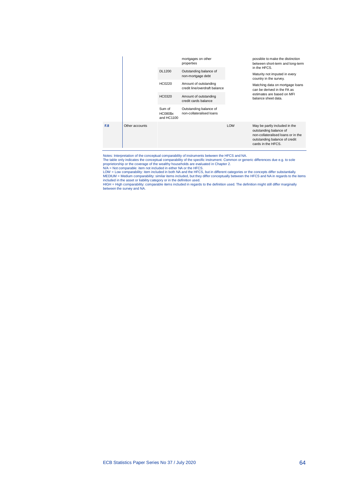

Notes: Interpretation of the conceptual comparability of instruments between the HFCS and NA. The table only indicates the conceptual comparability of the specific instrument. Common or generic differences due e.g. to sole proprietorship or the coverage of the wealthy households are evaluated in Chapter 2.

N/A = Not comparable: item not included in either NA or the HFCS. LOW = Low comparability: item included in both NA and the HFCS, but in different categories or the concepts differ substantially. MEDIUM = Medium comparability: similar items included, but they differ conceptually between the HFCS and NA in regards to the items<br>included in the asset or liability category or in the definition used.<br>HIGH = High compara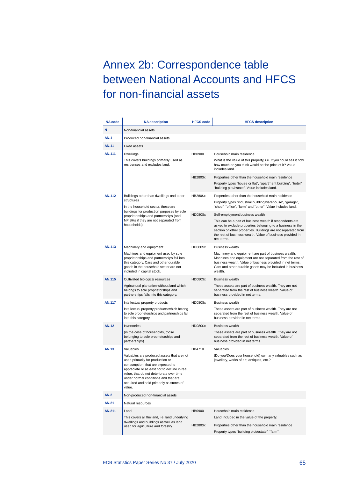# <span id="page-65-0"></span>Annex 2b: Correspondence table between National Accounts and HFCS for non-financial assets

| <b>NA code</b> | <b>NA</b> description                                                                                                                                                                                                                                                                                          | <b>HFCS code</b> | <b>HFCS description</b>                                                                                                                                                                                                                               |
|----------------|----------------------------------------------------------------------------------------------------------------------------------------------------------------------------------------------------------------------------------------------------------------------------------------------------------------|------------------|-------------------------------------------------------------------------------------------------------------------------------------------------------------------------------------------------------------------------------------------------------|
| N              | Non-financial assets                                                                                                                                                                                                                                                                                           |                  |                                                                                                                                                                                                                                                       |
| <b>AN.1</b>    | Produced non-financial assets                                                                                                                                                                                                                                                                                  |                  |                                                                                                                                                                                                                                                       |
| <b>AN.11</b>   | <b>Fixed assets</b>                                                                                                                                                                                                                                                                                            |                  |                                                                                                                                                                                                                                                       |
| <b>AN.111</b>  | Dwellings                                                                                                                                                                                                                                                                                                      | <b>HB0900</b>    | Household main residence                                                                                                                                                                                                                              |
|                | This covers buildings primarily used as<br>residences and excludes land.                                                                                                                                                                                                                                       |                  | What is the value of this property, i.e. if you could sell it now<br>how much do you think would be the price of it? Value<br>includes land.                                                                                                          |
|                |                                                                                                                                                                                                                                                                                                                | HB280\$x         | Properties other than the household main residence<br>Property types "house or flat", "apartment building", "hotel",<br>"building plot/estate". Value includes land.                                                                                  |
| AN.112         | Buildings other than dwellings and other                                                                                                                                                                                                                                                                       | HB280\$x         | Properties other than the household main residence                                                                                                                                                                                                    |
|                | structures<br>In the household sector, these are                                                                                                                                                                                                                                                               |                  | Property types "industrial building/warehouse", "garage",<br>"shop", "office", "farm" and "other". Value includes land.                                                                                                                               |
|                | buildings for production purposes by sole<br>proprietorships and partnerships (and<br>NPISHs if they are not separated from                                                                                                                                                                                    | HD080\$x         | Self-employment business wealth<br>This can be a part of business wealth if respondents are                                                                                                                                                           |
|                | households).                                                                                                                                                                                                                                                                                                   |                  | asked to exclude properties belonging to a business in the<br>section on other properties. Buildings are not separated from<br>the rest of business wealth. Value of business provided in<br>net terms.                                               |
| <b>AN.113</b>  | Machinery and equipment                                                                                                                                                                                                                                                                                        | HD080\$x         | <b>Business wealth</b>                                                                                                                                                                                                                                |
|                | Machines and equipment used by sole<br>proprietorships and partnerships fall into<br>this category. Cars and other durable<br>goods in the household sector are not<br>included in capital stock.                                                                                                              |                  | Machinery and equipment are part of business wealth.<br>Machines and equipment are not separated from the rest of<br>business wealth. Value of business provided in net terms.<br>Cars and other durable goods may be included in business<br>wealth. |
| <b>AN.115</b>  | Cultivated biological resources                                                                                                                                                                                                                                                                                | HD080\$x         | <b>Business wealth</b>                                                                                                                                                                                                                                |
|                | Agricultural plantation without land which<br>belongs to sole proprietorships and<br>partnerships falls into this category.                                                                                                                                                                                    |                  | These assets are part of business wealth. They are not<br>separated from the rest of business wealth. Value of<br>business provided in net terms.                                                                                                     |
| AN.117         | Intellectual property products                                                                                                                                                                                                                                                                                 | HD080\$x         | <b>Business wealth</b>                                                                                                                                                                                                                                |
|                | Intellectual property products which belong<br>to sole proprietorships and partnerships fall<br>into this category.                                                                                                                                                                                            |                  | These assets are part of business wealth. They are not<br>separated from the rest of business wealth. Value of<br>business provided in net terms.                                                                                                     |
| <b>AN.12</b>   | Inventories                                                                                                                                                                                                                                                                                                    | HD080\$x         | <b>Business wealth</b>                                                                                                                                                                                                                                |
|                | (in the case of households, those<br>belonging to sole proprietorships and<br>partnerships)                                                                                                                                                                                                                    |                  | These assets are part of business wealth. They are not<br>separated from the rest of business wealth. Value of<br>business provided in net terms.                                                                                                     |
| <b>AN.13</b>   | Valuables                                                                                                                                                                                                                                                                                                      | HB4710           | Valuables                                                                                                                                                                                                                                             |
|                | Valuables are produced assets that are not<br>used primarily for production or<br>consumption, that are expected to<br>appreciate or at least not to decline in real<br>value, that do not deteriorate over time<br>under normal conditions and that are<br>acquired and held primarily as stores of<br>value. |                  | (Do you/Does your household) own any valuables such as<br>jewellery, works of art, antiques, etc.?                                                                                                                                                    |
| <b>AN.2</b>    | Non-produced non-financial assets                                                                                                                                                                                                                                                                              |                  |                                                                                                                                                                                                                                                       |
| <b>AN.21</b>   | Natural resources                                                                                                                                                                                                                                                                                              |                  |                                                                                                                                                                                                                                                       |
| <b>AN.211</b>  | Land                                                                                                                                                                                                                                                                                                           | HB0900           | Household main residence                                                                                                                                                                                                                              |
|                | This covers all the land, i.e. land underlying<br>dwellings and buildings as well as land                                                                                                                                                                                                                      |                  | Land included in the value of the property.                                                                                                                                                                                                           |
|                | used for agriculture and forestry.                                                                                                                                                                                                                                                                             | HB280\$x         | Properties other than the household main residence<br>Property types "building plot/estate", "farm".                                                                                                                                                  |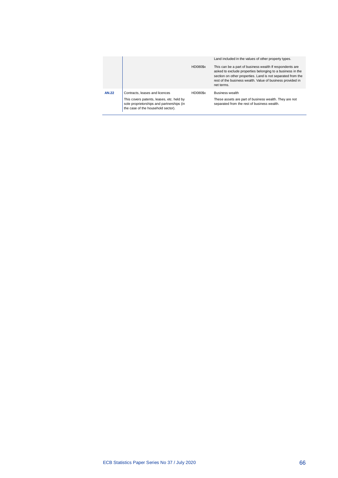|              |                                                                                                                              |                 | Land included in the values of other property types.                                                                                                                                                                                                              |
|--------------|------------------------------------------------------------------------------------------------------------------------------|-----------------|-------------------------------------------------------------------------------------------------------------------------------------------------------------------------------------------------------------------------------------------------------------------|
|              |                                                                                                                              | HD080\$x        | This can be a part of business wealth If respondents are<br>asked to exclude properties belonging to a business in the<br>section on other properties. Land is not separated from the<br>rest of the business wealth. Value of business provided in<br>net terms. |
| <b>AN.22</b> | Contracts, leases and licences                                                                                               | <b>HD080\$x</b> | <b>Business wealth</b>                                                                                                                                                                                                                                            |
|              | This covers patents, leases, etc. held by<br>sole proprietorships and partnerships (in<br>the case of the household sector). |                 | These assets are part of business wealth. They are not<br>separated from the rest of business wealth.                                                                                                                                                             |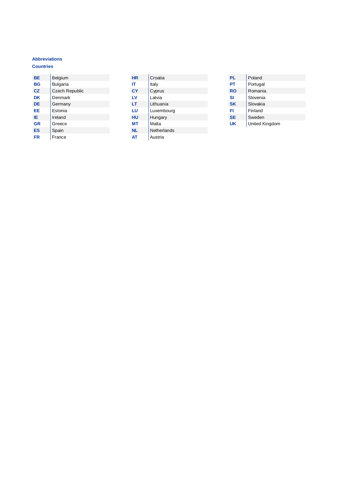#### <span id="page-67-0"></span>**Abbreviations**

### **Countries**

| ВE        | Belgium               |
|-----------|-----------------------|
| BG        | <b>Bulgaria</b>       |
| <b>CZ</b> | <b>Czech Republic</b> |
| DK        | Denmark               |
| DE        | Germany               |
| EЕ        | Estonia               |
| IE        | Ireland               |
| <b>GR</b> | Greece                |
| ES        | Spain                 |
| FR        | France                |
|           |                       |

| ΗR  | Croatia     |
|-----|-------------|
| ΙT  | Italy       |
| СY  | Cyprus      |
| LV  | Latvia      |
| LT  | Lithuania   |
| LU  | Luxembourg  |
| HU  | Hungary     |
| МT  | Malta       |
| NL. | Netherlands |
| AT  | Austria     |

| PL        | Poland         |
|-----------|----------------|
| PT        | Portugal       |
| RO        | Romania        |
| <b>SI</b> | Slovenia       |
| <b>SK</b> | Slovakia       |
| FI        | Finland        |
| <b>SE</b> | Sweden         |
| UK        | United Kingdom |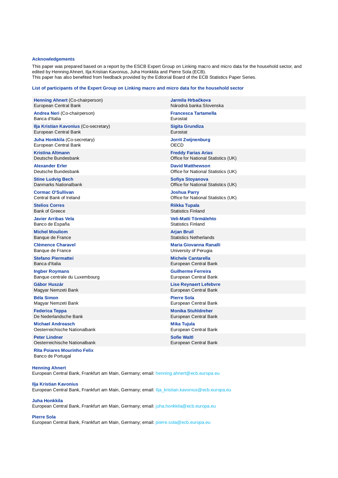#### <span id="page-68-0"></span>**Acknowledgements**

This paper was prepared based on a report by the ESCB Expert Group on Linking macro and micro data for the household sector, and edited by Henning Ahnert, Ilja Kristian Kavonius, Juha Honkkila and Pierre Sola (ECB). This paper has also benefited from feedback provided by the Editorial Board of the ECB Statistics Paper Series.

#### **List of participants of the Expert Group on Linking macro and micro data for the household sector**

| <b>Henning Ahnert (Co-chairperson)</b>                                                                          | Jarmila Hrbačkova                   |  |  |  |
|-----------------------------------------------------------------------------------------------------------------|-------------------------------------|--|--|--|
| European Central Bank                                                                                           | Národná banka Slovenska             |  |  |  |
| <b>Andrea Neri (Co-chairperson)</b>                                                                             | <b>Francesca Tartamella</b>         |  |  |  |
| Banca d'Italia                                                                                                  | Eurostat                            |  |  |  |
| Ilja Kristian Kavonius (Co-secretary)                                                                           | <b>Sigita Grundiza</b>              |  |  |  |
| European Central Bank                                                                                           | Eurostat                            |  |  |  |
| Juha Honkkila (Co-secretary)                                                                                    | <b>Jorrit Zwijnenburg</b>           |  |  |  |
| European Central Bank                                                                                           | OECD                                |  |  |  |
| <b>Kristina Altmann</b>                                                                                         | <b>Freddy Farias Arias</b>          |  |  |  |
| Deutsche Bundesbank                                                                                             | Office for National Statistics (UK) |  |  |  |
| <b>Alexander Erler</b>                                                                                          | <b>David Matthewson</b>             |  |  |  |
| Deutsche Bundesbank                                                                                             | Office for National Statistics (UK) |  |  |  |
| <b>Stine Ludvig Bech</b>                                                                                        | Sofiya Stoyanova                    |  |  |  |
| Danmarks Nationalbank                                                                                           | Office for National Statistics (UK) |  |  |  |
| <b>Cormac O'Sullivan</b>                                                                                        | <b>Joshua Parry</b>                 |  |  |  |
| Central Bank of Ireland                                                                                         | Office for National Statistics (UK) |  |  |  |
| <b>Stelios Corres</b>                                                                                           | Riikka Tupala                       |  |  |  |
| <b>Bank of Greece</b>                                                                                           | <b>Statistics Finland</b>           |  |  |  |
| <b>Javier Arribas Vela</b>                                                                                      | Veli-Matti Törmälehto               |  |  |  |
| Banco de España                                                                                                 | <b>Statistics Finland</b>           |  |  |  |
| <b>Michel Mouliom</b>                                                                                           | Arjan Bruil                         |  |  |  |
| Banque de France                                                                                                | <b>Statistics Netherlands</b>       |  |  |  |
| <b>Clémence Charavel</b>                                                                                        | Maria Giovanna Ranalli              |  |  |  |
| Banque de France                                                                                                | University of Perugia               |  |  |  |
| <b>Stefano Piermattei</b>                                                                                       | <b>Michele Cantarella</b>           |  |  |  |
| Banca d'Italia                                                                                                  | European Central Bank               |  |  |  |
| <b>Ingber Roymans</b>                                                                                           | <b>Guilherme Ferreira</b>           |  |  |  |
| Banque centrale du Luxembourg                                                                                   | European Central Bank               |  |  |  |
| Gábor Huszár                                                                                                    | <b>Lise Reynaert Lefebvre</b>       |  |  |  |
| Magyar Nemzeti Bank                                                                                             | European Central Bank               |  |  |  |
| <b>Béla Simon</b>                                                                                               | <b>Pierre Sola</b>                  |  |  |  |
| Magyar Nemzeti Bank                                                                                             | European Central Bank               |  |  |  |
| Federica Teppa                                                                                                  | <b>Monika Stuhldreher</b>           |  |  |  |
| De Nederlandsche Bank                                                                                           | European Central Bank               |  |  |  |
| <b>Michael Andreasch</b>                                                                                        | <b>Mika Tujula</b>                  |  |  |  |
| Oesterreichische Nationalbank                                                                                   | European Central Bank               |  |  |  |
| <b>Peter Lindner</b>                                                                                            | <b>Sofie Waltl</b>                  |  |  |  |
| Oesterreichische Nationalbank                                                                                   | European Central Bank               |  |  |  |
| <b>Rita Poiares Mourinho Felix</b><br>Banco de Portugal                                                         |                                     |  |  |  |
| <b>Henning Ahnert</b><br>European Central Bank, Frankfurt am Main, Germany; email: henning.ahnert@ecb.europa.eu |                                     |  |  |  |

**Ilja Kristian Kavonius**

## European Central Bank, Frankfurt am Main, Germany; email: [Ilja\\_kristian.kavonius@ecb.europa.eu](mailto:Ilja_kristian.kavonius@ecb.europa.eu)

**Juha Honkkila** European Central Bank, Frankfurt am Main, Germany; email: [juha.honkkila@ecb.europa.eu](mailto:juha.honkkila@ecb.europa.eu)

#### **Pierre Sola**

European Central Bank, Frankfurt am Main, Germany; email: [pierre.sola@ecb.europa.eu](mailto:pierre.sola@ecb.europa.eu)